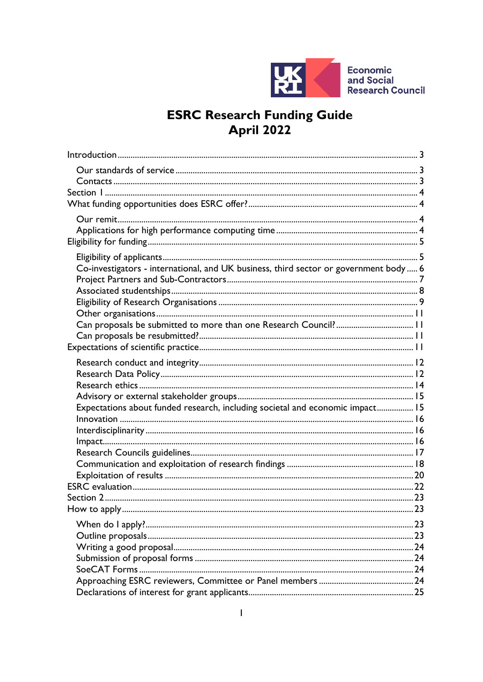

# **ESRC Research Funding Guide<br>April 2022**

| Co-investigators - international, and UK business, third sector or government body 6 |  |
|--------------------------------------------------------------------------------------|--|
|                                                                                      |  |
|                                                                                      |  |
| Expectations about funded research, including societal and economic impact 15        |  |
|                                                                                      |  |
|                                                                                      |  |
|                                                                                      |  |
|                                                                                      |  |
|                                                                                      |  |
|                                                                                      |  |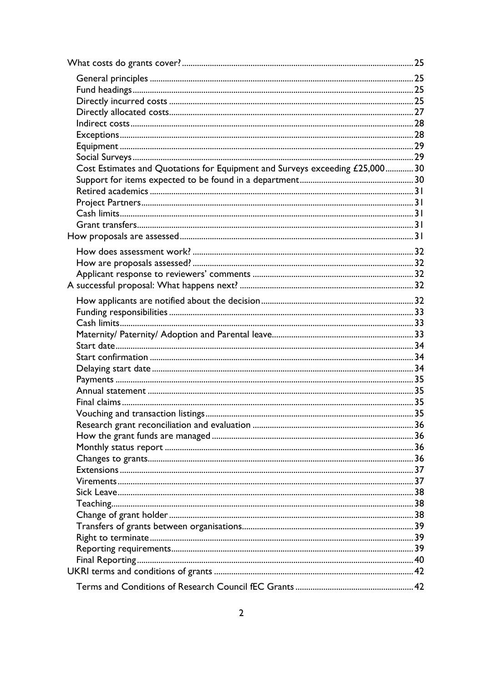| Cost Estimates and Quotations for Equipment and Surveys exceeding £25,00030 |  |
|-----------------------------------------------------------------------------|--|
|                                                                             |  |
|                                                                             |  |
|                                                                             |  |
|                                                                             |  |
|                                                                             |  |
|                                                                             |  |
|                                                                             |  |
|                                                                             |  |
|                                                                             |  |
|                                                                             |  |
|                                                                             |  |
|                                                                             |  |
|                                                                             |  |
|                                                                             |  |
|                                                                             |  |
|                                                                             |  |
|                                                                             |  |
|                                                                             |  |
|                                                                             |  |
|                                                                             |  |
|                                                                             |  |
|                                                                             |  |
|                                                                             |  |
|                                                                             |  |
|                                                                             |  |
|                                                                             |  |
|                                                                             |  |
|                                                                             |  |
|                                                                             |  |
|                                                                             |  |
|                                                                             |  |
|                                                                             |  |
|                                                                             |  |
|                                                                             |  |
|                                                                             |  |
|                                                                             |  |
|                                                                             |  |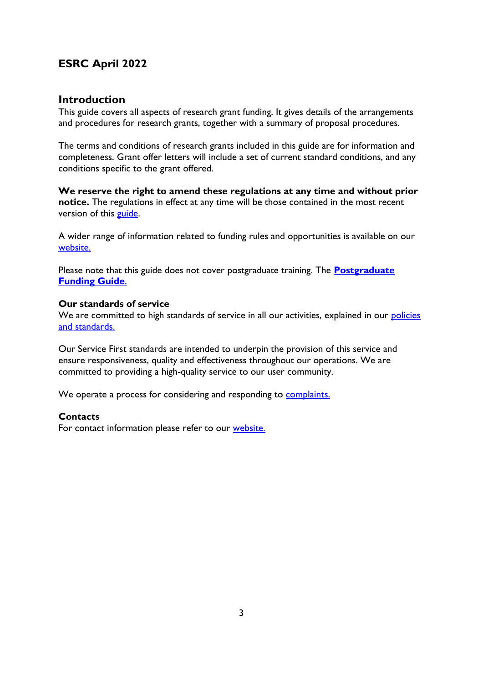# **ESRC April 2022**

# <span id="page-2-0"></span>**Introduction**

This guide covers all aspects of research grant funding. It gives details of the arrangements and procedures for research grants, together with a summary of proposal procedures.

The terms and conditions of research grants included in this guide are for information and completeness. Grant offer letters will include a set of current standard conditions, and any conditions specific to the grant offered.

**We reserve the right to amend these regulations at any time and without prior notice.** The regulations in effect at any time will be those contained in the most recent version of this [guide.](https://esrc.ukri.org/funding/guidance-for-applicants/research-funding-guide/)

A wider range of information related to funding rules and opportunities is available on our [website.](https://esrc.ukri.org/)

Please note that this guide does not cover postgraduate training. The **[Postgraduate](https://esrc.ukri.org/skills-and-careers/doctoral-training/prospective-students/postgraduate-funding-guide/)  [Funding Guide](https://esrc.ukri.org/skills-and-careers/doctoral-training/prospective-students/postgraduate-funding-guide/)**.

# <span id="page-2-1"></span>**Our standards of service**

We are committed to high standards of service in all our activities, explained in our policies [and standards.](https://www.ukri.org/about-us/policies-standards-and-data/corporate-policies-and-standards/)

Our Service First standards are intended to underpin the provision of this service and ensure responsiveness, quality and effectiveness throughout our operations. We are committed to providing a high-quality service to our user community.

We operate a process for considering and responding to [complaints.](https://esrc.ukri.org/about-us/policies-and-standards/complaints/)

# <span id="page-2-2"></span>**Contacts**

For contact information please refer to our [website.](https://esrc.ukri.org/contact-us/)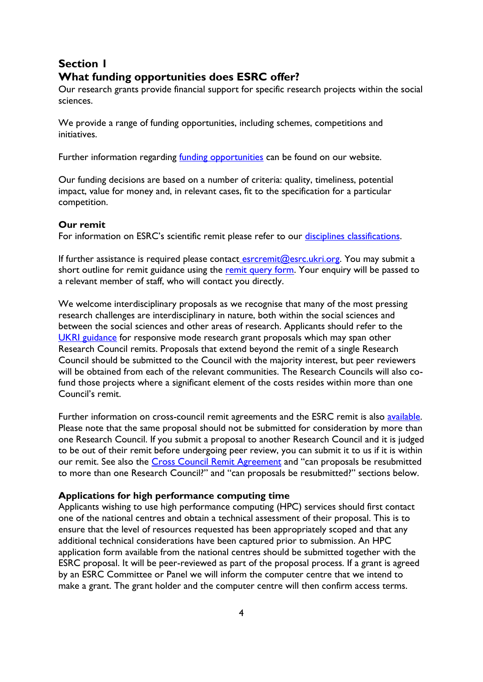# <span id="page-3-0"></span>**Section 1 What funding opportunities does ESRC offer?**

<span id="page-3-1"></span>Our research grants provide financial support for specific research projects within the social sciences.

We provide a range of funding opportunities, including schemes, competitions and initiatives.

Further information regarding *funding opportunities* can be found on our website.

Our funding decisions are based on a number of criteria: quality, timeliness, potential impact, value for money and, in relevant cases, fit to the specification for a particular competition.

#### <span id="page-3-2"></span>**Our remit**

For information on ESRC's scientific remit please refer to our [disciplines classifications.](https://esrc.ukri.org/about-us/what-is-social-science/social-science-disciplines/)

If further assistance is required please contact  $\frac{e}{e}$  esrcremit  $\omega$ esrc.ukri.org. You may submit a short outline for remit guidance using the [remit query form.](https://esrc.ukri.org/funding/guidance-for-applicants/is-my-research-suitable-for-esrc-funding/remit-query-form/) Your enquiry will be passed to a relevant member of staff, who will contact you directly.

We welcome interdisciplinary proposals as we recognise that many of the most pressing research challenges are interdisciplinary in nature, both within the social sciences and between the social sciences and other areas of research. Applicants should refer to the [UKRI guidance](https://www.ukri.org/apply-for-funding/before-you-apply/preparing-to-make-a-funding-application/if-your-research-spans-different-disciplines/) for responsive mode research grant proposals which may span other Research Council remits. Proposals that extend beyond the remit of a single Research Council should be submitted to the Council with the majority interest, but peer reviewers will be obtained from each of the relevant communities. The Research Councils will also cofund those projects where a significant element of the costs resides within more than one Council's remit.

Further information on cross-council remit agreements and the ESRC remit is also [available.](https://esrc.ukri.org/funding/guidance-for-applicants/is-my-research-suitable-for-esrc-funding/) Please note that the same proposal should not be submitted for consideration by more than one Research Council. If you submit a proposal to another Research Council and it is judged to be out of their remit before undergoing peer review, you can submit it to us if it is within our remit. See also the [Cross Council Remit Agreement](https://www.ukri.org/apply-for-funding/before-you-apply/preparing-to-make-a-funding-application/if-your-research-spans-different-disciplines/) and "can proposals be resubmitted to more than one Research Council?" and "can proposals be resubmitted?" sections below.

# <span id="page-3-3"></span>**Applications for high performance computing time**

Applicants wishing to use high performance computing (HPC) services should first contact one of the national centres and obtain a technical assessment of their proposal. This is to ensure that the level of resources requested has been appropriately scoped and that any additional technical considerations have been captured prior to submission. An HPC application form available from the national centres should be submitted together with the ESRC proposal. It will be peer-reviewed as part of the proposal process. If a grant is agreed by an ESRC Committee or Panel we will inform the computer centre that we intend to make a grant. The grant holder and the computer centre will then confirm access terms.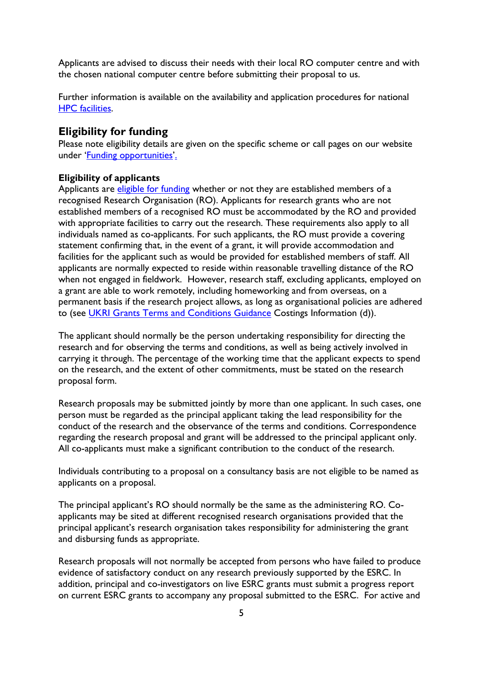Applicants are advised to discuss their needs with their local RO computer centre and with the chosen national computer centre before submitting their proposal to us.

Further information is available on the availability and application procedures for national [HPC facilities.](https://epsrc.ukri.org/research/facilities/hpc/)

# <span id="page-4-0"></span>**Eligibility for funding**

Please note eligibility details are given on the specific scheme or call pages on our website under '[Funding opportunities](https://esrc.ukri.org/funding/funding-opportunities/)'.

# <span id="page-4-1"></span>**Eligibility of applicants**

Applicants are *eligible for funding* whether or not they are established members of a recognised Research Organisation (RO). Applicants for research grants who are not established members of a recognised RO must be accommodated by the RO and provided with appropriate facilities to carry out the research. These requirements also apply to all individuals named as co-applicants. For such applicants, the RO must provide a covering statement confirming that, in the event of a grant, it will provide accommodation and facilities for the applicant such as would be provided for established members of staff. All applicants are normally expected to reside within reasonable travelling distance of the RO when not engaged in fieldwork. However, research staff, excluding applicants, employed on a grant are able to work remotely, including homeworking and from overseas, on a permanent basis if the research project allows, as long as organisational policies are adhered to (see [UKRI Grants Terms and Conditions Guidance](https://www.ukri.org/wp-content/uploads/2022/04/UKRI-050422-FullEconomicCostingGrantTermsConditionsGuidance-Apr2022.pdf) Costings Information (d)).

The applicant should normally be the person undertaking responsibility for directing the research and for observing the terms and conditions, as well as being actively involved in carrying it through. The percentage of the working time that the applicant expects to spend on the research, and the extent of other commitments, must be stated on the research proposal form.

Research proposals may be submitted jointly by more than one applicant. In such cases, one person must be regarded as the principal applicant taking the lead responsibility for the conduct of the research and the observance of the terms and conditions. Correspondence regarding the research proposal and grant will be addressed to the principal applicant only. All co-applicants must make a significant contribution to the conduct of the research.

Individuals contributing to a proposal on a consultancy basis are not eligible to be named as applicants on a proposal.

The principal applicant's RO should normally be the same as the administering RO. Coapplicants may be sited at different recognised research organisations provided that the principal applicant's research organisation takes responsibility for administering the grant and disbursing funds as appropriate.

Research proposals will not normally be accepted from persons who have failed to produce evidence of satisfactory conduct on any research previously supported by the ESRC. In addition, principal and co-investigators on live ESRC grants must submit a progress report on current ESRC grants to accompany any proposal submitted to the ESRC. For active and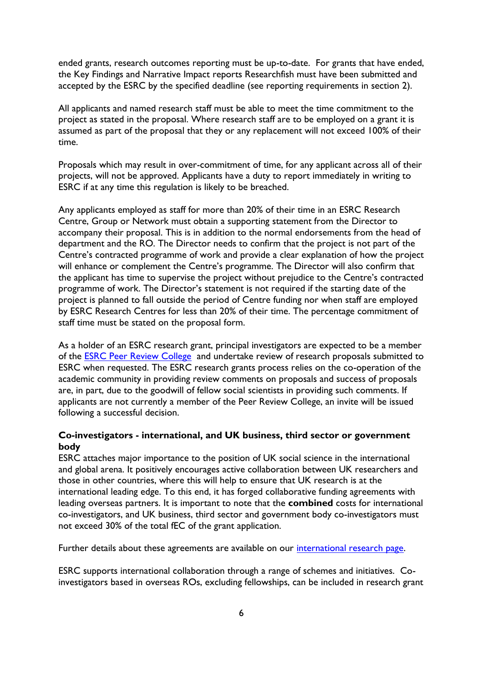ended grants, research outcomes reporting must be up-to-date. For grants that have ended, the Key Findings and Narrative Impact reports Researchfish must have been submitted and accepted by the ESRC by the specified deadline (see reporting requirements in section 2).

All applicants and named research staff must be able to meet the time commitment to the project as stated in the proposal. Where research staff are to be employed on a grant it is assumed as part of the proposal that they or any replacement will not exceed 100% of their time.

Proposals which may result in over-commitment of time, for any applicant across all of their projects, will not be approved. Applicants have a duty to report immediately in writing to ESRC if at any time this regulation is likely to be breached.

Any applicants employed as staff for more than 20% of their time in an ESRC Research Centre, Group or Network must obtain a supporting statement from the Director to accompany their proposal. This is in addition to the normal endorsements from the head of department and the RO. The Director needs to confirm that the project is not part of the Centre's contracted programme of work and provide a clear explanation of how the project will enhance or complement the Centre's programme. The Director will also confirm that the applicant has time to supervise the project without prejudice to the Centre's contracted programme of work. The Director's statement is not required if the starting date of the project is planned to fall outside the period of Centre funding nor when staff are employed by ESRC Research Centres for less than 20% of their time. The percentage commitment of staff time must be stated on the proposal form.

As a holder of an ESRC research grant, principal investigators are expected to be a member of the [ESRC Peer Review College](https://esrc.ukri.org/funding/guidance-for-peer-reviewers/peer-review-college/) and undertake review of research proposals submitted to ESRC when requested. The ESRC research grants process relies on the co-operation of the academic community in providing review comments on proposals and success of proposals are, in part, due to the goodwill of fellow social scientists in providing such comments. If applicants are not currently a member of the Peer Review College, an invite will be issued following a successful decision.

# <span id="page-5-0"></span>**Co-investigators - international, and UK business, third sector or government body**

ESRC attaches major importance to the position of UK social science in the international and global arena. It positively encourages active collaboration between UK researchers and those in other countries, where this will help to ensure that UK research is at the international leading edge. To this end, it has forged collaborative funding agreements with leading overseas partners. It is important to note that the **combined** costs for international co-investigators, and UK business, third sector and government body co-investigators must not exceed 30% of the total fEC of the grant application.

Further details about these agreements are available on our [international research page.](https://esrc.ukri.org/research/international-research/)

ESRC supports international collaboration through a range of schemes and initiatives. Coinvestigators based in overseas ROs, excluding fellowships, can be included in research grant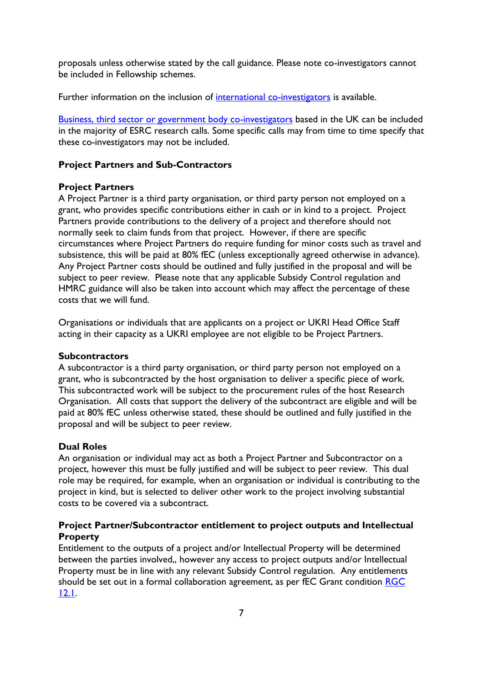proposals unless otherwise stated by the call guidance. Please note co-investigators cannot be included in Fellowship schemes.

Further information on the inclusion of [international co-investigators](https://esrc.ukri.org/funding/guidance-for-applicants/inclusion-of-international-co-investigators-on-proposals/) is available.

[Business, third sector or government body co-investigators](https://esrc.ukri.org/funding/guidance-for-applicants/inclusion-of-uk-business-third-sector-or-government-body-co-investigators-on-proposals/) based in the UK can be included in the majority of ESRC research calls. Some specific calls may from time to time specify that these co-investigators may not be included.

# <span id="page-6-0"></span>**Project Partners and Sub-Contractors**

# **Project Partners**

A Project Partner is a third party organisation, or third party person not employed on a grant, who provides specific contributions either in cash or in kind to a project. Project Partners provide contributions to the delivery of a project and therefore should not normally seek to claim funds from that project. However, if there are specific circumstances where Project Partners do require funding for minor costs such as travel and subsistence, this will be paid at 80% fEC (unless exceptionally agreed otherwise in advance). Any Project Partner costs should be outlined and fully justified in the proposal and will be subject to peer review. Please note that any applicable Subsidy Control regulation and HMRC guidance will also be taken into account which may affect the percentage of these costs that we will fund.

Organisations or individuals that are applicants on a project or UKRI Head Office Staff acting in their capacity as a UKRI employee are not eligible to be Project Partners.

#### **Subcontractors**

A subcontractor is a third party organisation, or third party person not employed on a grant, who is subcontracted by the host organisation to deliver a specific piece of work. This subcontracted work will be subject to the procurement rules of the host Research Organisation. All costs that support the delivery of the subcontract are eligible and will be paid at 80% fEC unless otherwise stated, these should be outlined and fully justified in the proposal and will be subject to peer review.

# **Dual Roles**

An organisation or individual may act as both a Project Partner and Subcontractor on a project, however this must be fully justified and will be subject to peer review. This dual role may be required, for example, when an organisation or individual is contributing to the project in kind, but is selected to deliver other work to the project involving substantial costs to be covered via a subcontract.

# **Project Partner/Subcontractor entitlement to project outputs and Intellectual Property**

Entitlement to the outputs of a project and/or Intellectual Property will be determined between the parties involved,, however any access to project outputs and/or Intellectual Property must be in line with any relevant Subsidy Control regulation. Any entitlements should be set out in a formal collaboration agreement, as per fEC Grant condition [RGC](https://www.ukri.org/wp-content/uploads/2021/03/UKRI-150321-FullEconomicCostingGrantTermsConditions-Mar2021.pdf)  [12.1.](https://www.ukri.org/wp-content/uploads/2021/03/UKRI-150321-FullEconomicCostingGrantTermsConditions-Mar2021.pdf)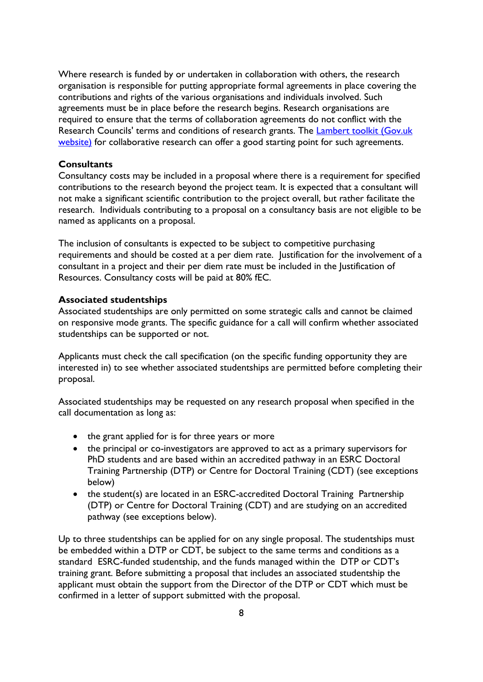Where research is funded by or undertaken in collaboration with others, the research organisation is responsible for putting appropriate formal agreements in place covering the contributions and rights of the various organisations and individuals involved. Such agreements must be in place before the research begins. Research organisations are required to ensure that the terms of collaboration agreements do not conflict with the Research Councils' terms and conditions of research grants. The [Lambert toolkit \(Gov.uk](https://www.gov.uk/guidance/lambert-toolkit)  [website\)](https://www.gov.uk/guidance/lambert-toolkit) for collaborative research can offer a good starting point for such agreements.

#### **Consultants**

Consultancy costs may be included in a proposal where there is a requirement for specified contributions to the research beyond the project team. It is expected that a consultant will not make a significant scientific contribution to the project overall, but rather facilitate the research. Individuals contributing to a proposal on a consultancy basis are not eligible to be named as applicants on a proposal.

The inclusion of consultants is expected to be subject to competitive purchasing requirements and should be costed at a per diem rate. Justification for the involvement of a consultant in a project and their per diem rate must be included in the Justification of Resources. Consultancy costs will be paid at 80% fEC.

#### <span id="page-7-0"></span>**Associated studentships**

Associated studentships are only permitted on some strategic calls and cannot be claimed on responsive mode grants. The specific guidance for a call will confirm whether associated studentships can be supported or not.

Applicants must check the call specification (on the specific funding opportunity they are interested in) to see whether associated studentships are permitted before completing their proposal.

Associated studentships may be requested on any research proposal when specified in the call documentation as long as:

- the grant applied for is for three years or more
- the principal or co-investigators are approved to act as a primary supervisors for PhD students and are based within an accredited pathway in an ESRC Doctoral Training Partnership (DTP) or Centre for Doctoral Training (CDT) (see exceptions below)
- the student(s) are located in an ESRC-accredited Doctoral Training Partnership (DTP) or Centre for Doctoral Training (CDT) and are studying on an accredited pathway (see exceptions below).

Up to three studentships can be applied for on any single proposal. The studentships must be embedded within a DTP or CDT, be subject to the same terms and conditions as a standard ESRC-funded studentship, and the funds managed within the DTP or CDT's training grant. Before submitting a proposal that includes an associated studentship the applicant must obtain the support from the Director of the DTP or CDT which must be confirmed in a letter of support submitted with the proposal.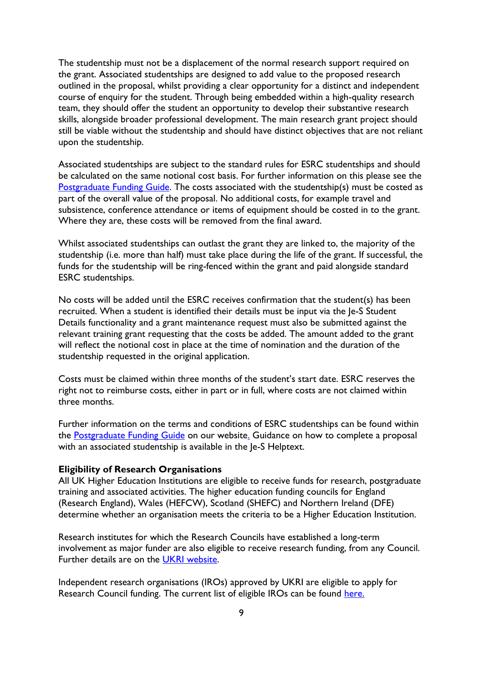The studentship must not be a displacement of the normal research support required on the grant. Associated studentships are designed to add value to the proposed research outlined in the proposal, whilst providing a clear opportunity for a distinct and independent course of enquiry for the student. Through being embedded within a high-quality research team, they should offer the student an opportunity to develop their substantive research skills, alongside broader professional development. The main research grant project should still be viable without the studentship and should have distinct objectives that are not reliant upon the studentship.

Associated studentships are subject to the standard rules for ESRC studentships and should be calculated on the same notional cost basis. For further information on this please see the [Postgraduate Funding Guide.](https://www.ukri.org/publications/terms-and-conditions-for-training-funding/) The costs associated with the studentship(s) must be costed as part of the overall value of the proposal. No additional costs, for example travel and subsistence, conference attendance or items of equipment should be costed in to the grant. Where they are, these costs will be removed from the final award.

Whilst associated studentships can outlast the grant they are linked to, the majority of the studentship (i.e. more than half) must take place during the life of the grant. If successful, the funds for the studentship will be ring-fenced within the grant and paid alongside standard ESRC studentships.

No costs will be added until the ESRC receives confirmation that the student(s) has been recruited. When a student is identified their details must be input via the Je-S Student Details functionality and a grant maintenance request must also be submitted against the relevant training grant requesting that the costs be added. The amount added to the grant will reflect the notional cost in place at the time of nomination and the duration of the studentship requested in the original application.

Costs must be claimed within three months of the student's start date. ESRC reserves the right not to reimburse costs, either in part or in full, where costs are not claimed within three months.

Further information on the terms and conditions of ESRC studentships can be found within the [Postgraduate Funding Guide](https://www.ukri.org/publications/terms-and-conditions-for-training-funding/) on our website. Guidance on how to complete a proposal with an associated studentship is available in the Je-S Helptext.

#### <span id="page-8-0"></span>**Eligibility of Research Organisations**

All UK Higher Education Institutions are eligible to receive funds for research, postgraduate training and associated activities. The higher education funding councils for England (Research England), Wales (HEFCW), Scotland (SHEFC) and Northern Ireland (DFE) determine whether an organisation meets the criteria to be a Higher Education Institution.

Research institutes for which the Research Councils have established a long-term involvement as major funder are also eligible to receive research funding, from any Council. Further details are on the [UKRI website.](https://www.ukri.org/apply-for-funding/before-you-apply/check-if-you-are-eligible-for-research-and-innovation-funding/)

Independent research organisations (IROs) approved by UKRI are eligible to apply for Research Council funding. The current list of eligible IROs can be found [here.](https://www.ukri.org/apply-for-funding/before-you-apply/check-if-you-are-eligible-for-research-and-innovation-funding/)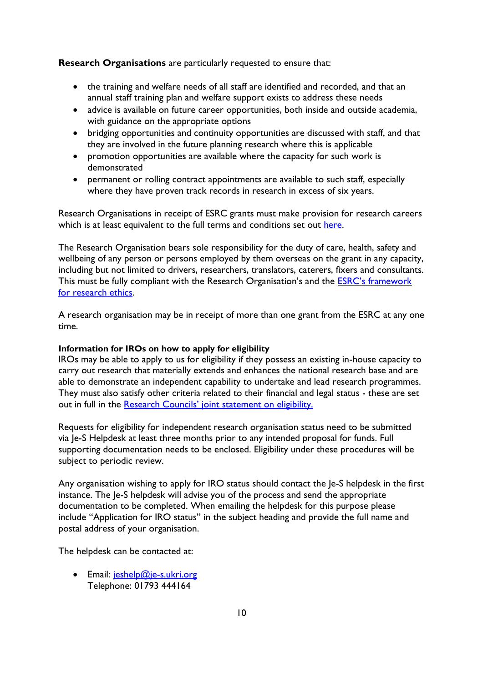**Research Organisations** are particularly requested to ensure that:

- the training and welfare needs of all staff are identified and recorded, and that an annual staff training plan and welfare support exists to address these needs
- advice is available on future career opportunities, both inside and outside academia, with guidance on the appropriate options
- bridging opportunities and continuity opportunities are discussed with staff, and that they are involved in the future planning research where this is applicable
- promotion opportunities are available where the capacity for such work is demonstrated
- permanent or rolling contract appointments are available to such staff, especially where they have proven track records in research in excess of six years.

Research Organisations in receipt of ESRC grants must make provision for research careers which is at least equivalent to the full terms and conditions set out [here.](https://www.vitae.ac.uk/policy/concordat-to-support-the-career-development-of-researchers)

The Research Organisation bears sole responsibility for the duty of care, health, safety and wellbeing of any person or persons employed by them overseas on the grant in any capacity, including but not limited to drivers, researchers, translators, caterers, fixers and consultants. This must be fully compliant with the Research Organisation's and the [ESRC's framework](https://esrc.ukri.org/funding/guidance-for-applicants/research-ethics/)  [for research ethics.](https://esrc.ukri.org/funding/guidance-for-applicants/research-ethics/)

A research organisation may be in receipt of more than one grant from the ESRC at any one time.

#### **Information for IROs on how to apply for eligibility**

IROs may be able to apply to us for eligibility if they possess an existing in-house capacity to carry out research that materially extends and enhances the national research base and are able to demonstrate an independent capability to undertake and lead research programmes. They must also satisfy other criteria related to their financial and legal status - these are set out in full in the [Research Councils' joint statement on eligibility.](https://www.ukri.org/councils/esrc/guidance-for-applicants/check-if-you-are-eligible-for-funding/)

Requests for eligibility for independent research organisation status need to be submitted via Je-S Helpdesk at least three months prior to any intended proposal for funds. Full supporting documentation needs to be enclosed. Eligibility under these procedures will be subject to periodic review.

Any organisation wishing to apply for IRO status should contact the Je-S helpdesk in the first instance. The Je-S helpdesk will advise you of the process and send the appropriate documentation to be completed. When emailing the helpdesk for this purpose please include "Application for IRO status" in the subject heading and provide the full name and postal address of your organisation.

The helpdesk can be contacted at:

 $\bullet$  Email: jeshelp@je-s.ukri.org Telephone: 01793 444164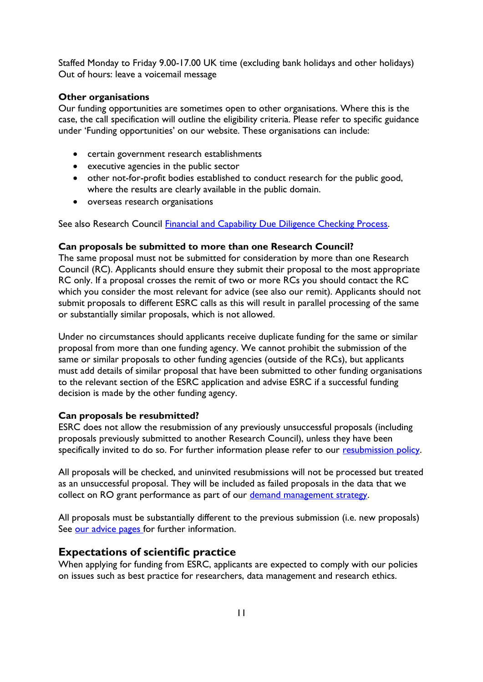Staffed Monday to Friday 9.00-17.00 UK time (excluding bank holidays and other holidays) Out of hours: leave a voicemail message

# <span id="page-10-0"></span>**Other organisations**

Our funding opportunities are sometimes open to other organisations. Where this is the case, the call specification will outline the eligibility criteria. Please refer to specific guidance under 'Funding opportunities' on our website. These organisations can include:

- certain government research establishments
- executive agencies in the public sector
- other not-for-profit bodies established to conduct research for the public good, where the results are clearly available in the public domain.
- overseas research organisations

See also Research Council [Financial and Capability Due](https://www.ukri.org/apply-for-funding/before-you-apply/check-if-you-are-eligible-for-research-and-innovation-funding/) Diligence Checking Process.

#### <span id="page-10-1"></span>**Can proposals be submitted to more than one Research Council?**

The same proposal must not be submitted for consideration by more than one Research Council (RC). Applicants should ensure they submit their proposal to the most appropriate RC only. If a proposal crosses the remit of two or more RCs you should contact the RC which you consider the most relevant for advice (see also our remit). Applicants should not submit proposals to different ESRC calls as this will result in parallel processing of the same or substantially similar proposals, which is not allowed.

Under no circumstances should applicants receive duplicate funding for the same or similar proposal from more than one funding agency. We cannot prohibit the submission of the same or similar proposals to other funding agencies (outside of the RCs), but applicants must add details of similar proposal that have been submitted to other funding organisations to the relevant section of the ESRC application and advise ESRC if a successful funding decision is made by the other funding agency.

#### <span id="page-10-2"></span>**Can proposals be resubmitted?**

ESRC does not allow the resubmission of any previously unsuccessful proposals (including proposals previously submitted to another Research Council), unless they have been specifically invited to do so. For further information please refer to our [resubmission policy.](https://esrc.ukri.org/funding/guidance-for-applicants/resubmissions-policy/)

All proposals will be checked, and uninvited resubmissions will not be processed but treated as an unsuccessful proposal. They will be included as failed proposals in the data that we collect on RO grant performance as part of our [demand management strategy.](https://webarchive.nationalarchives.gov.uk/ukgwa/20210825105607/https:/esrc.ukri.org/about-us/performance-information/demand-management/)

All proposals must be substantially different to the previous submission (i.e. new proposals) See [our advice pages](https://esrc.ukri.org/funding/guidance-for-applicants/resubmissions-policy/what-constitutes-a-new-proposal/) for further information.

# <span id="page-10-3"></span>**Expectations of scientific practice**

When applying for funding from ESRC, applicants are expected to comply with our policies on issues such as best practice for researchers, data management and research ethics.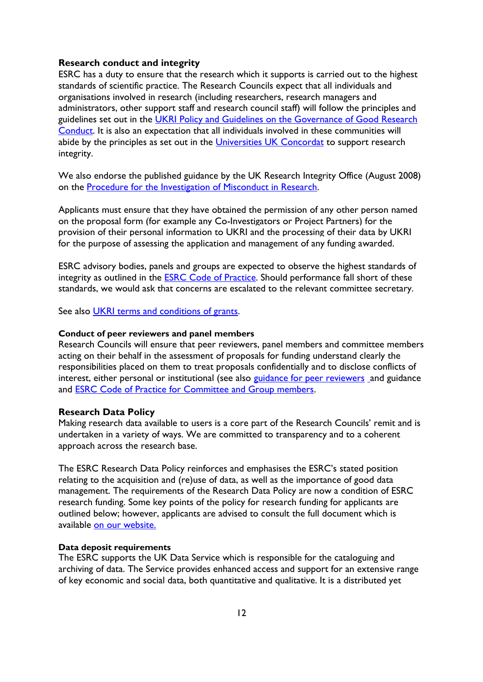#### <span id="page-11-0"></span>**Research conduct and integrity**

ESRC has a duty to ensure that the research which it supports is carried out to the highest standards of scientific practice. The Research Councils expect that all individuals and organisations involved in research (including researchers, research managers and administrators, other support staff and research council staff) will follow the principles and guidelines set out in the UKRI Policy and Guidelines on the Governance of Good Research [Conduct.](https://www.ukri.org/about-us/policies-standards-and-data/good-research-resource-hub/research-integrity/) It is also an expectation that all individuals involved in these communities will abide by the principles as set out in the [Universities UK Concordat](http://www.universitiesuk.ac.uk/policy-and-analysis/reports/Pages/research-concordat.aspx) to support research integrity.

We also endorse the published guidance by the UK Research Integrity Office (August 2008) on the [Procedure for the Investigation of Misconduct in Research.](http://www.ukrio.org/publications/misconduct-investigation-procedure/)

Applicants must ensure that they have obtained the permission of any other person named on the proposal form (for example any Co-Investigators or Project Partners) for the provision of their personal information to UKRI and the processing of their data by UKRI for the purpose of assessing the application and management of any funding awarded.

ESRC advisory bodies, panels and groups are expected to observe the highest standards of integrity as outlined in the **ESRC Code of Practice**. Should performance fall short of these standards, we would ask that concerns are escalated to the relevant committee secretary.

See also [UKRI terms and conditions of grants.](https://www.ukri.org/manage-your-award/meeting-ukri-terms-and-conditions-for-funding/)

#### **Conduct of peer reviewers and panel members**

Research Councils will ensure that peer reviewers, panel members and committee members acting on their behalf in the assessment of proposals for funding understand clearly the responsibilities placed on them to treat proposals confidentially and to disclose conflicts of interest, either personal or institutional (see also [guidance for peer reviewers](https://esrc.ukri.org/funding/guidance-for-peer-reviewers/) [a](https://esrc.ukri.org/funding/guidance-for-peer-reviewers/)nd guidance and [ESRC Code of Practice for Committee and Group members.](https://esrc.ukri.org/about-us/governance-and-structure/)

#### <span id="page-11-1"></span>**Research Data Policy**

Making research data available to users is a core part of the Research Councils' remit and is undertaken in a variety of ways. We are committed to transparency and to a coherent approach across the research base.

The ESRC Research Data Policy reinforces and emphasises the ESRC's stated position relating to the acquisition and (re)use of data, as well as the importance of good data management. The requirements of the Research Data Policy are now a condition of ESRC research funding. Some key points of the policy for research funding for applicants are outlined below; however, applicants are advised to consult the full document which is available [on our website.](https://www.ukri.org/publications/esrc-research-data-policy/)

#### **Data deposit requirements**

The ESRC supports the UK Data Service which is responsible for the cataloguing and archiving of data. The Service provides enhanced access and support for an extensive range of key economic and social data, both quantitative and qualitative. It is a distributed yet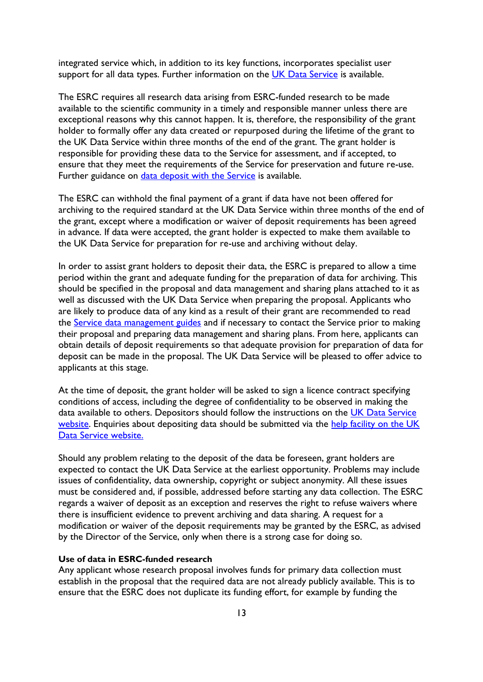integrated service which, in addition to its key functions, incorporates specialist user support for all data types. Further information on the [UK Data Service](https://ukdataservice.ac.uk/) is available.

The ESRC requires all research data arising from ESRC-funded research to be made available to the scientific community in a timely and responsible manner unless there are exceptional reasons why this cannot happen. It is, therefore, the responsibility of the grant holder to formally offer any data created or repurposed during the lifetime of the grant to the UK Data Service within three months of the end of the grant. The grant holder is responsible for providing these data to the Service for assessment, and if accepted, to ensure that they meet the requirements of the Service for preservation and future re-use. Further guidance on [data deposit with the Service](http://ukdataservice.ac.uk/deposit-data.aspx) is available.

The ESRC can withhold the final payment of a grant if data have not been offered for archiving to the required standard at the UK Data Service within three months of the end of the grant, except where a modification or waiver of deposit requirements has been agreed in advance. If data were accepted, the grant holder is expected to make them available to the UK Data Service for preparation for re-use and archiving without delay.

In order to assist grant holders to deposit their data, the ESRC is prepared to allow a time period within the grant and adequate funding for the preparation of data for archiving. This should be specified in the proposal and data management and sharing plans attached to it as well as discussed with the UK Data Service when preparing the proposal. Applicants who are likely to produce data of any kind as a result of their grant are recommended to read the [Service data management guides](http://ukdataservice.ac.uk/manage-data/plan.aspx) and if necessary to contact the Service prior to making their proposal and preparing data management and sharing plans. From here, applicants can obtain details of deposit requirements so that adequate provision for preparation of data for deposit can be made in the proposal. The UK Data Service will be pleased to offer advice to applicants at this stage.

At the time of deposit, the grant holder will be asked to sign a licence contract specifying conditions of access, including the degree of confidentiality to be observed in making the data available to others. Depositors should follow the instructions on the UK Data Service [website.](http://www.ukdataservice.ac.uk/deposit-data/how-to) Enquiries about depositing data should be submitted via the [help facility on the UK](https://beta.ukdataservice.ac.uk/help?id=depositingData) [Data Service website.](https://beta.ukdataservice.ac.uk/help?id=depositingData)

Should any problem relating to the deposit of the data be foreseen, grant holders are expected to contact the UK Data Service at the earliest opportunity. Problems may include issues of confidentiality, data ownership, copyright or subject anonymity. All these issues must be considered and, if possible, addressed before starting any data collection. The ESRC regards a waiver of deposit as an exception and reserves the right to refuse waivers where there is insufficient evidence to prevent archiving and data sharing. A request for a modification or waiver of the deposit requirements may be granted by the ESRC, as advised by the Director of the Service, only when there is a strong case for doing so.

#### **Use of data in ESRC-funded research**

Any applicant whose research proposal involves funds for primary data collection must establish in the proposal that the required data are not already publicly available. This is to ensure that the ESRC does not duplicate its funding effort, for example by funding the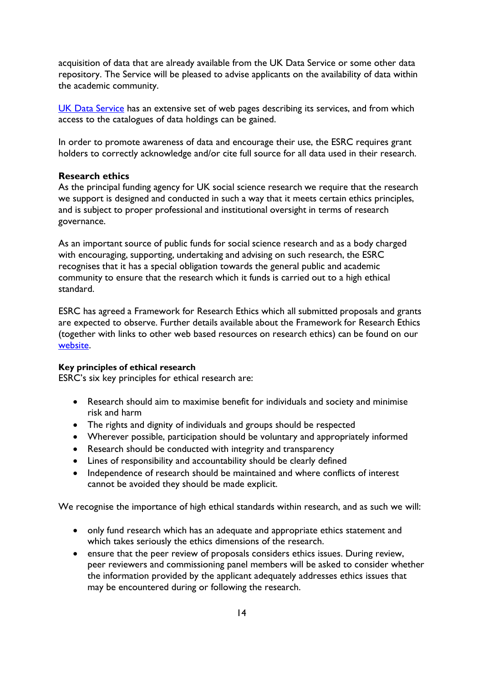acquisition of data that are already available from the UK Data Service or some other data repository. The Service will be pleased to advise applicants on the availability of data within the academic community.

[UK Data Service](http://ukdataservice.ac.uk/) has an extensive set of web pages describing its services, and from which access to the catalogues of data holdings can be gained.

In order to promote awareness of data and encourage their use, the ESRC requires grant holders to correctly acknowledge and/or cite full source for all data used in their research.

# <span id="page-13-0"></span>**Research ethics**

As the principal funding agency for UK social science research we require that the research we support is designed and conducted in such a way that it meets certain ethics principles, and is subject to proper professional and institutional oversight in terms of research governance.

As an important source of public funds for social science research and as a body charged with encouraging, supporting, undertaking and advising on such research, the ESRC recognises that it has a special obligation towards the general public and academic community to ensure that the research which it funds is carried out to a high ethical standard.

ESRC has agreed a Framework for Research Ethics which all submitted proposals and grants are expected to observe. Further details available about the Framework for Research Ethics (together with links to other web based resources on research ethics) can be found on our [website.](https://esrc.ukri.org/funding/guidance-for-applicants/research-ethics/)

#### **Key principles of ethical research**

ESRC's six key principles for ethical research are:

- Research should aim to maximise benefit for individuals and society and minimise risk and harm
- The rights and dignity of individuals and groups should be respected
- Wherever possible, participation should be voluntary and appropriately informed
- Research should be conducted with integrity and transparency
- Lines of responsibility and accountability should be clearly defined
- Independence of research should be maintained and where conflicts of interest cannot be avoided they should be made explicit.

We recognise the importance of high ethical standards within research, and as such we will:

- only fund research which has an adequate and appropriate ethics statement and which takes seriously the ethics dimensions of the research.
- ensure that the peer review of proposals considers ethics issues. During review, peer reviewers and commissioning panel members will be asked to consider whether the information provided by the applicant adequately addresses ethics issues that may be encountered during or following the research.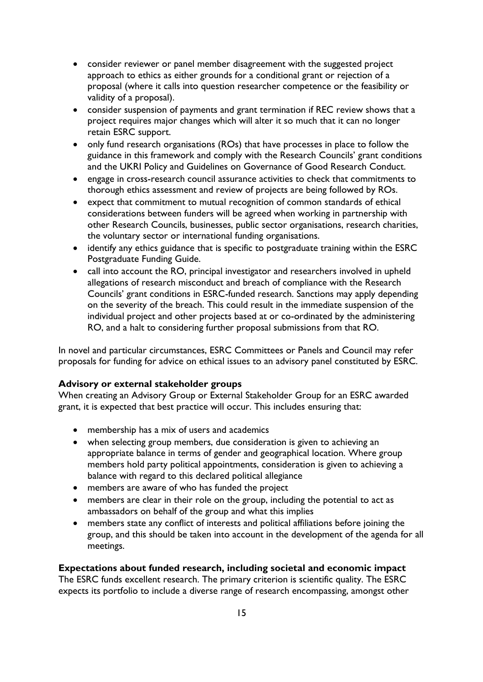- consider reviewer or panel member disagreement with the suggested project approach to ethics as either grounds for a conditional grant or rejection of a proposal (where it calls into question researcher competence or the feasibility or validity of a proposal).
- consider suspension of payments and grant termination if REC review shows that a project requires major changes which will alter it so much that it can no longer retain ESRC support.
- only fund research organisations (ROs) that have processes in place to follow the guidance in this framework and comply with the Research Councils' grant conditions and the UKRI Policy and Guidelines on Governance of Good Research Conduct.
- engage in cross-research council assurance activities to check that commitments to thorough ethics assessment and review of projects are being followed by ROs.
- expect that commitment to mutual recognition of common standards of ethical considerations between funders will be agreed when working in partnership with other Research Councils, businesses, public sector organisations, research charities, the voluntary sector or international funding organisations.
- identify any ethics guidance that is specific to postgraduate training within the ESRC Postgraduate Funding Guide.
- call into account the RO, principal investigator and researchers involved in upheld allegations of research misconduct and breach of compliance with the Research Councils' grant conditions in ESRC-funded research. Sanctions may apply depending on the severity of the breach. This could result in the immediate suspension of the individual project and other projects based at or co-ordinated by the administering RO, and a halt to considering further proposal submissions from that RO.

In novel and particular circumstances, ESRC Committees or Panels and Council may refer proposals for funding for advice on ethical issues to an advisory panel constituted by ESRC.

# <span id="page-14-0"></span>**Advisory or external stakeholder groups**

When creating an Advisory Group or External Stakeholder Group for an ESRC awarded grant, it is expected that best practice will occur. This includes ensuring that:

- membership has a mix of users and academics
- when selecting group members, due consideration is given to achieving an appropriate balance in terms of gender and geographical location. Where group members hold party political appointments, consideration is given to achieving a balance with regard to this declared political allegiance
- members are aware of who has funded the project
- members are clear in their role on the group, including the potential to act as ambassadors on behalf of the group and what this implies
- members state any conflict of interests and political affiliations before joining the group, and this should be taken into account in the development of the agenda for all meetings.

# <span id="page-14-1"></span>**Expectations about funded research, including societal and economic impact**

The ESRC funds excellent research. The primary criterion is scientific quality. The ESRC expects its portfolio to include a diverse range of research encompassing, amongst other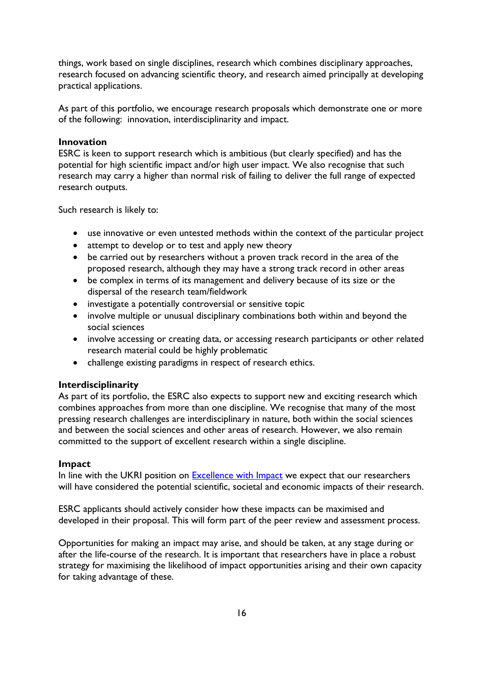things, work based on single disciplines, research which combines disciplinary approaches, research focused on advancing scientific theory, and research aimed principally at developing practical applications.

As part of this portfolio, we encourage research proposals which demonstrate one or more of the following: innovation, interdisciplinarity and impact.

#### <span id="page-15-0"></span>**Innovation**

ESRC is keen to support research which is ambitious (but clearly specified) and has the potential for high scientific impact and/or high user impact. We also recognise that such research may carry a higher than normal risk of failing to deliver the full range of expected research outputs.

Such research is likely to:

- use innovative or even untested methods within the context of the particular project
- attempt to develop or to test and apply new theory
- be carried out by researchers without a proven track record in the area of the proposed research, although they may have a strong track record in other areas
- be complex in terms of its management and delivery because of its size or the dispersal of the research team/fieldwork
- investigate a potentially controversial or sensitive topic
- involve multiple or unusual disciplinary combinations both within and beyond the social sciences
- involve accessing or creating data, or accessing research participants or other related research material could be highly problematic
- challenge existing paradigms in respect of research ethics.

#### <span id="page-15-1"></span>**Interdisciplinarity**

As part of its portfolio, the ESRC also expects to support new and exciting research which combines approaches from more than one discipline. We recognise that many of the most pressing research challenges are interdisciplinary in nature, both within the social sciences and between the social sciences and other areas of research. However, we also remain committed to the support of excellent research within a single discipline.

#### <span id="page-15-2"></span>**Impact**

In line with the UKRI position on [Excellence with Impact](https://www.ukri.org/our-work/delivering-economic-impact/) we expect that our researchers will have considered the potential scientific, societal and economic impacts of their research.

ESRC applicants should actively consider how these impacts can be maximised and developed in their proposal. This will form part of the peer review and assessment process.

Opportunities for making an impact may arise, and should be taken, at any stage during or after the life-course of the research. It is important that researchers have in place a robust strategy for maximising the likelihood of impact opportunities arising and their own capacity for taking advantage of these.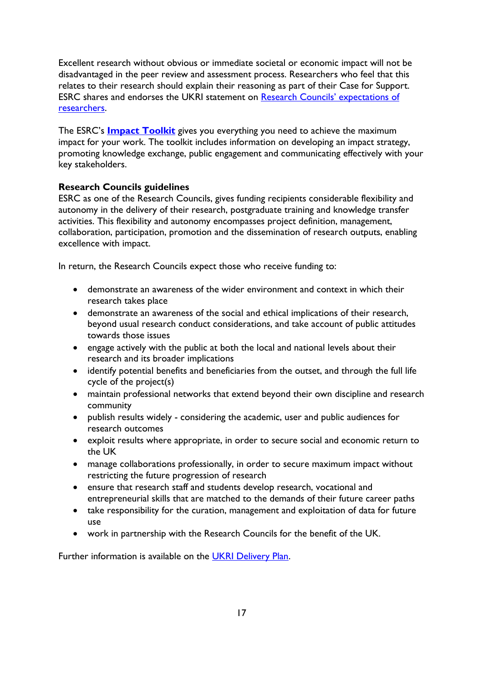Excellent research without obvious or immediate societal or economic impact will not be disadvantaged in the peer review and assessment process. Researchers who feel that this relates to their research should explain their reasoning as part of their Case for Support. ESRC shares and endorses the UKRI statement on [Research Councils' expectations of](https://www.ukri.org/apply-for-funding/before-you-apply/your-responsibilities-if-you-get-funding/)  [researchers.](https://www.ukri.org/apply-for-funding/before-you-apply/your-responsibilities-if-you-get-funding/)

The ESRC's **[Impact Toolkit](https://esrc.ukri.org/research/impact-toolkit/)** gives you everything you need to achieve the maximum impact for your work. The toolkit includes information on developing an impact strategy, promoting knowledge exchange, public engagement and communicating effectively with your key stakeholders.

# <span id="page-16-0"></span>**Research Councils guidelines**

ESRC as one of the Research Councils, gives funding recipients considerable flexibility and autonomy in the delivery of their research, postgraduate training and knowledge transfer activities. This flexibility and autonomy encompasses project definition, management, collaboration, participation, promotion and the dissemination of research outputs, enabling excellence with impact.

In return, the Research Councils expect those who receive funding to:

- demonstrate an awareness of the wider environment and context in which their research takes place
- demonstrate an awareness of the social and ethical implications of their research, beyond usual research conduct considerations, and take account of public attitudes towards those issues
- engage actively with the public at both the local and national levels about their research and its broader implications
- identify potential benefits and beneficiaries from the outset, and through the full life cycle of the project(s)
- maintain professional networks that extend beyond their own discipline and research community
- publish results widely considering the academic, user and public audiences for research outcomes
- exploit results where appropriate, in order to secure social and economic return to the UK
- manage collaborations professionally, in order to secure maximum impact without restricting the future progression of research
- ensure that research staff and students develop research, vocational and entrepreneurial skills that are matched to the demands of their future career paths
- take responsibility for the curation, management and exploitation of data for future use
- work in partnership with the Research Councils for the benefit of the UK.

Further information is available on the [UKRI Delivery Plan.](https://www.ukri.org/about-us/what-we-do/delivery-plans/)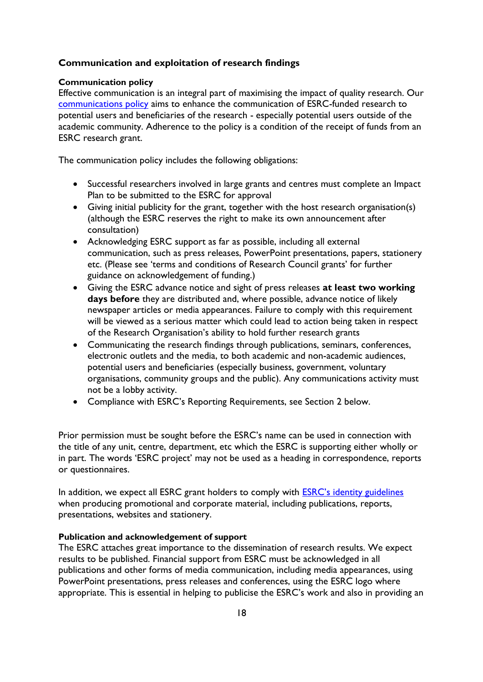# <span id="page-17-0"></span>**Communication and exploitation of research findings**

#### **Communication policy**

Effective communication is an integral part of maximising the impact of quality research. Our [communications policy](https://esrc.ukri.org/research/impact-toolkit/media-relations/) aims to enhance the communication of ESRC-funded research to potential users and beneficiaries of the research - especially potential users outside of the academic community. Adherence to the policy is a condition of the receipt of funds from an ESRC research grant.

The communication policy includes the following obligations:

- Successful researchers involved in large grants and centres must complete an Impact Plan to be submitted to the ESRC for approval
- Giving initial publicity for the grant, together with the host research organisation(s) (although the ESRC reserves the right to make its own announcement after consultation)
- Acknowledging ESRC support as far as possible, including all external communication, such as press releases, PowerPoint presentations, papers, stationery etc. (Please see 'terms and conditions of Research Council grants' for further guidance on acknowledgement of funding.)
- Giving the ESRC advance notice and sight of press releases **at least two working days before** they are distributed and, where possible, advance notice of likely newspaper articles or media appearances. Failure to comply with this requirement will be viewed as a serious matter which could lead to action being taken in respect of the Research Organisation's ability to hold further research grants
- Communicating the research findings through publications, seminars, conferences, electronic outlets and the media, to both academic and non-academic audiences, potential users and beneficiaries (especially business, government, voluntary organisations, community groups and the public). Any communications activity must not be a lobby activity.
- Compliance with ESRC's Reporting Requirements, see Section 2 below.

Prior permission must be sought before the ESRC's name can be used in connection with the title of any unit, centre, department, etc which the ESRC is supporting either wholly or in part. The words 'ESRC project' may not be used as a heading in correspondence, reports or questionnaires.

In addition, we expect all ESRC grant holders to comply with [ESRC's identity guidelines](https://esrc.ukri.org/about-us/visual-identity-and-logos/) when producing promotional and corporate material, including publications, reports, presentations, websites and stationery.

#### **Publication and acknowledgement of support**

The ESRC attaches great importance to the dissemination of research results. We expect results to be published. Financial support from ESRC must be acknowledged in all publications and other forms of media communication, including media appearances, using PowerPoint presentations, press releases and conferences, using the ESRC logo where appropriate. This is essential in helping to publicise the ESRC's work and also in providing an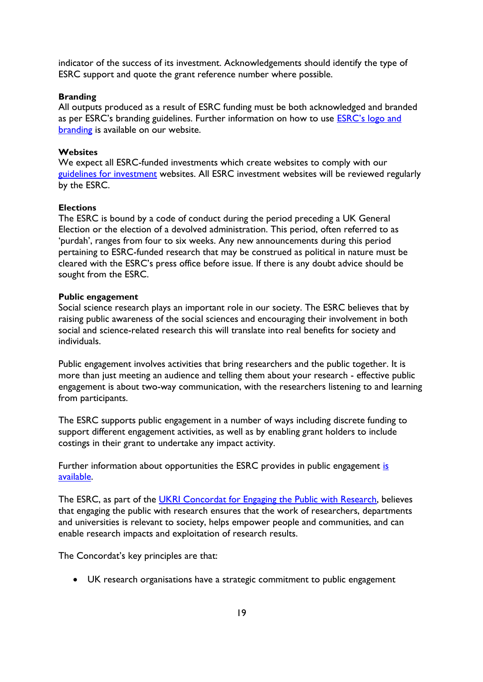indicator of the success of its investment. Acknowledgements should identify the type of ESRC support and quote the grant reference number where possible.

#### **Branding**

All outputs produced as a result of ESRC funding must be both acknowledged and branded as per ESRC's branding guidelines. Further information on how to use ESRC's logo and [branding](https://esrc.ukri.org/about-us/visual-identity-and-logos/) is available on our website.

#### **Websites**

We expect all ESRC-funded investments which create websites to comply with our [guidelines for investment](https://esrc.ukri.org/research/impact-toolkit/websites/) websites. All ESRC investment websites will be reviewed regularly by the ESRC.

#### **Elections**

The ESRC is bound by a code of conduct during the period preceding a UK General Election or the election of a devolved administration. This period, often referred to as 'purdah', ranges from four to six weeks. Any new announcements during this period pertaining to ESRC-funded research that may be construed as political in nature must be cleared with the ESRC's press office before issue. If there is any doubt advice should be sought from the ESRC.

#### **Public engagement**

Social science research plays an important role in our society. The ESRC believes that by raising public awareness of the social sciences and encouraging their involvement in both social and science-related research this will translate into real benefits for society and individuals.

Public engagement involves activities that bring researchers and the public together. It is more than just meeting an audience and telling them about your research - effective public engagement is about two-way communication, with the researchers listening to and learning from participants.

The ESRC supports public engagement in a number of ways including discrete funding to support different engagement activities, as well as by enabling grant holders to include costings in their grant to undertake any impact activity.

Further information about opportunities the ESRC provides in public engagement is [available.](https://esrc.ukri.org/public-engagement/) 

The ESRC, as part of the [UKRI Concordat for Engaging the Public with Research,](https://www.ukri.org/our-work/public-engagement/how-we-support-public-engagement/) believes that engaging the public with research ensures that the work of researchers, departments and universities is relevant to society, helps empower people and communities, and can enable research impacts and exploitation of research results.

The Concordat's key principles are that:

UK research organisations have a strategic commitment to public engagement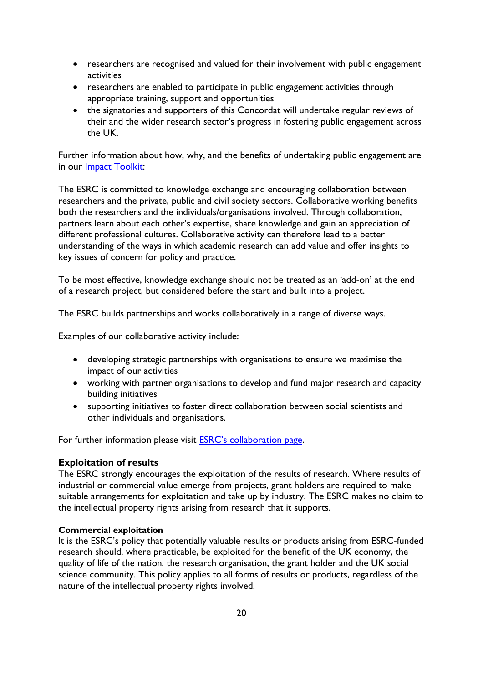- researchers are recognised and valued for their involvement with public engagement activities
- researchers are enabled to participate in public engagement activities through appropriate training, support and opportunities
- the signatories and supporters of this Concordat will undertake regular reviews of their and the wider research sector's progress in fostering public engagement across the UK.

Further information about how, why, and the benefits of undertaking public engagement are in our [Impact Toolkit:](https://esrc.ukri.org/research/impact-toolkit/)

The ESRC is committed to knowledge exchange and encouraging collaboration between researchers and the private, public and civil society sectors. Collaborative working benefits both the researchers and the individuals/organisations involved. Through collaboration, partners learn about each other's expertise, share knowledge and gain an appreciation of different professional cultures. Collaborative activity can therefore lead to a better understanding of the ways in which academic research can add value and offer insights to key issues of concern for policy and practice.

To be most effective, knowledge exchange should not be treated as an 'add-on' at the end of a research project, but considered before the start and built into a project.

The ESRC builds partnerships and works collaboratively in a range of diverse ways.

Examples of our collaborative activity include:

- developing strategic partnerships with organisations to ensure we maximise the impact of our activities
- working with partner organisations to develop and fund major research and capacity building initiatives
- supporting initiatives to foster direct collaboration between social scientists and other individuals and organisations.

For further information please visit **[ESRC's collaboration page](https://esrc.ukri.org/collaboration/collaboration-oportunities/).** 

# <span id="page-19-0"></span>**Exploitation of results**

The ESRC strongly encourages the exploitation of the results of research. Where results of industrial or commercial value emerge from projects, grant holders are required to make suitable arrangements for exploitation and take up by industry. The ESRC makes no claim to the intellectual property rights arising from research that it supports.

#### **Commercial exploitation**

It is the ESRC's policy that potentially valuable results or products arising from ESRC-funded research should, where practicable, be exploited for the benefit of the UK economy, the quality of life of the nation, the research organisation, the grant holder and the UK social science community. This policy applies to all forms of results or products, regardless of the nature of the intellectual property rights involved.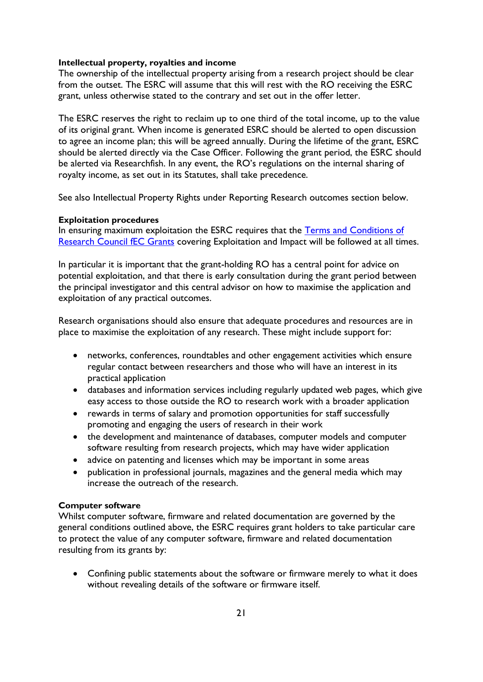#### **Intellectual property, royalties and income**

The ownership of the intellectual property arising from a research project should be clear from the outset. The ESRC will assume that this will rest with the RO receiving the ESRC grant, unless otherwise stated to the contrary and set out in the offer letter.

The ESRC reserves the right to reclaim up to one third of the total income, up to the value of its original grant. When income is generated ESRC should be alerted to open discussion to agree an income plan; this will be agreed annually. During the lifetime of the grant, ESRC should be alerted directly via the Case Officer. Following the grant period, the ESRC should be alerted via Researchfish. In any event, the RO's regulations on the internal sharing of royalty income, as set out in its Statutes, shall take precedence.

See also Intellectual Property Rights under Reporting Research outcomes section below.

#### **Exploitation procedures**

In ensuring maximum exploitation the ESRC requires that the Terms and Conditions of [Research Council fEC Grants](https://www.ukri.org/manage-your-award/meeting-ukri-terms-and-conditions-for-funding/) covering Exploitation and Impact will be followed at all times.

In particular it is important that the grant-holding RO has a central point for advice on potential exploitation, and that there is early consultation during the grant period between the principal investigator and this central advisor on how to maximise the application and exploitation of any practical outcomes.

Research organisations should also ensure that adequate procedures and resources are in place to maximise the exploitation of any research. These might include support for:

- networks, conferences, roundtables and other engagement activities which ensure regular contact between researchers and those who will have an interest in its practical application
- databases and information services including regularly updated web pages, which give easy access to those outside the RO to research work with a broader application
- rewards in terms of salary and promotion opportunities for staff successfully promoting and engaging the users of research in their work
- the development and maintenance of databases, computer models and computer software resulting from research projects, which may have wider application
- advice on patenting and licenses which may be important in some areas
- publication in professional journals, magazines and the general media which may increase the outreach of the research.

# **Computer software**

Whilst computer software, firmware and related documentation are governed by the general conditions outlined above, the ESRC requires grant holders to take particular care to protect the value of any computer software, firmware and related documentation resulting from its grants by:

 Confining public statements about the software or firmware merely to what it does without revealing details of the software or firmware itself.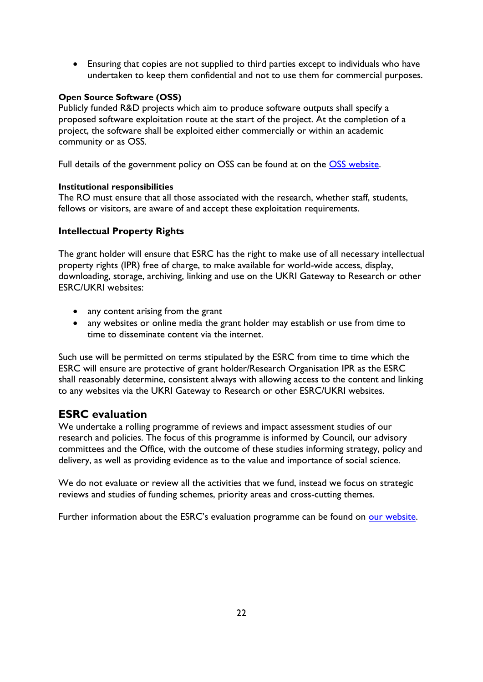Ensuring that copies are not supplied to third parties except to individuals who have undertaken to keep them confidential and not to use them for commercial purposes.

# **Open Source Software (OSS)**

Publicly funded R&D projects which aim to produce software outputs shall specify a proposed software exploitation route at the start of the project. At the completion of a project, the software shall be exploited either commercially or within an academic community or as OSS.

Full details of the government policy on OSS can be found at on the [OSS website.](http://www.opensource.org/)

# **Institutional responsibilities**

The RO must ensure that all those associated with the research, whether staff, students, fellows or visitors, are aware of and accept these exploitation requirements.

# **Intellectual Property Rights**

The grant holder will ensure that ESRC has the right to make use of all necessary intellectual property rights (IPR) free of charge, to make available for world-wide access, display, downloading, storage, archiving, linking and use on the UKRI Gateway to Research or other ESRC/UKRI websites:

- any content arising from the grant
- any websites or online media the grant holder may establish or use from time to time to disseminate content via the internet.

Such use will be permitted on terms stipulated by the ESRC from time to time which the ESRC will ensure are protective of grant holder/Research Organisation IPR as the ESRC shall reasonably determine, consistent always with allowing access to the content and linking to any websites via the UKRI Gateway to Research or other ESRC/UKRI websites.

# <span id="page-21-0"></span>**ESRC evaluation**

We undertake a rolling programme of reviews and impact assessment studies of our research and policies. The focus of this programme is informed by Council, our advisory committees and the Office, with the outcome of these studies informing strategy, policy and delivery, as well as providing evidence as to the value and importance of social science.

We do not evaluate or review all the activities that we fund, instead we focus on strategic reviews and studies of funding schemes, priority areas and cross-cutting themes.

Further information about the ESRC's evaluation programme can be found on [our website.](https://www.ukri.org/about-us/research-outcomes-and-impact/esrc/)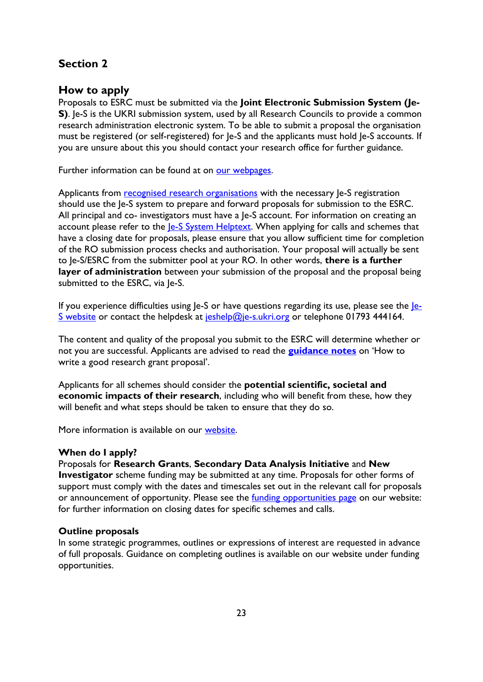# <span id="page-22-0"></span>**Section 2**

# <span id="page-22-1"></span>**How to apply**

Proposals to ESRC must be submitted via the **Joint Electronic Submission System (Je-S**). Je-S is the UKRI submission system, used by all Research Councils to provide a common research administration electronic system. To be able to submit a proposal the organisation must be registered (or self-registered) for Je-S and the applicants must hold Je-S accounts. If you are unsure about this you should contact your research office for further guidance.

Further information can be found at on [our webpages.](https://esrc.ukri.org/funding/guidance-for-applicants/je-s-electronic-applications/)

Applicants from [recognised research organisations](https://www.ukri.org/apply-for-funding/before-you-apply/check-if-you-are-eligible-for-research-and-innovation-funding/) with the necessary Je-S registration should use the Je-S system to prepare and forward proposals for submission to the ESRC. All principal and co- investigators must have a Je-S account. For information on creating an account please refer to the [Je-S System Helptext.](https://je-s.rcuk.ac.uk/Handbook/Index.htm) When applying for calls and schemes that have a closing date for proposals, please ensure that you allow sufficient time for completion of the RO submission process checks and authorisation. Your proposal will actually be sent to Je-S/ESRC from the submitter pool at your RO. In other words, **there is a further**  layer of administration between your submission of the proposal and the proposal being submitted to the ESRC, via Je-S.

If you experience difficulties using  $e-S$  or have questions regarding its use, please see the  $\overline{e}$ -[S website](https://je-s.rcuk.ac.uk/) or contact the helpdesk at [jeshelp@je-s.ukri.org](mailto:jeshelp@je-s.ukri.org) or telephone 01793 444164.

The content and quality of the proposal you submit to the ESRC will determine whether or not you are successful. Applicants are advised to read the **[guidance notes](https://esrc.ukri.org/funding/guidance-for-applicants/how-to-write-a-good-research-grant-proposal/)** on 'How to write a good research grant proposal'.

Applicants for all schemes should consider the **potential scientific, societal and economic impacts of their research**, including who will benefit from these, how they will benefit and what steps should be taken to ensure that they do so.

More information is available on our [website.](https://esrc.ukri.org/funding/guidance-for-applicants/)

# <span id="page-22-2"></span>**When do I apply?**

Proposals for **Research Grants**, **Secondary Data Analysis Initiative** and **New** 

**Investigator** scheme funding may be submitted at any time. Proposals for other forms of support must comply with the dates and timescales set out in the relevant call for proposals or announcement of opportunity. Please see the **funding opportunities page** on our website: for further information on closing dates for specific schemes and calls.

# <span id="page-22-3"></span>**Outline proposals**

In some strategic programmes, outlines or expressions of interest are requested in advance of full proposals. Guidance on completing outlines is available on our website under funding opportunities.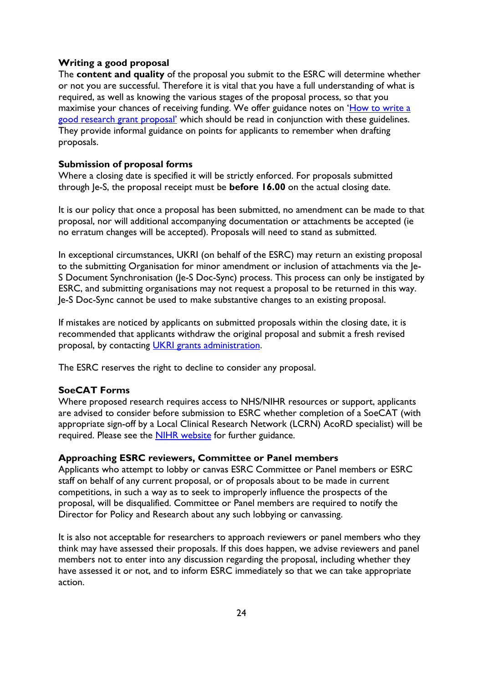#### <span id="page-23-0"></span>**Writing a good proposal**

The **content and quality** of the proposal you submit to the ESRC will determine whether or not you are successful. Therefore it is vital that you have a full understanding of what is required, as well as knowing the various stages of the proposal process, so that you maximise your chances of receiving funding. We offer guidance notes on '[How to write a](https://esrc.ukri.org/funding/guidance-for-applicants/how-to-write-a-good-research-grant-proposal/)  [good research grant proposal'](https://esrc.ukri.org/funding/guidance-for-applicants/how-to-write-a-good-research-grant-proposal/) which should be read in conjunction with these guidelines. They provide informal guidance on points for applicants to remember when drafting proposals.

#### <span id="page-23-1"></span>**Submission of proposal forms**

Where a closing date is specified it will be strictly enforced. For proposals submitted through Je-S, the proposal receipt must be **before 16.00** on the actual closing date.

It is our policy that once a proposal has been submitted, no amendment can be made to that proposal, nor will additional accompanying documentation or attachments be accepted (ie no erratum changes will be accepted). Proposals will need to stand as submitted.

In exceptional circumstances, UKRI (on behalf of the ESRC) may return an existing proposal to the submitting Organisation for minor amendment or inclusion of attachments via the Je-S Document Synchronisation (Je-S Doc-Sync) process. This process can only be instigated by ESRC, and submitting organisations may not request a proposal to be returned in this way. Je-S Doc-Sync cannot be used to make substantive changes to an existing proposal.

If mistakes are noticed by applicants on submitted proposals within the closing date, it is recommended that applicants withdraw the original proposal and submit a fresh revised proposal, by contacting [UKRI grants administration.](https://www.ukri.org/about-us/contact-us/)

The ESRC reserves the right to decline to consider any proposal.

# <span id="page-23-2"></span>**SoeCAT Forms**

Where proposed research requires access to NHS/NIHR resources or support, applicants are advised to consider before submission to ESRC whether completion of a SoeCAT (with appropriate sign-off by a Local Clinical Research Network (LCRN) AcoRD specialist) will be required. Please see the [NIHR website](https://www.nihr.ac.uk/researchers/collaborations-services-and-support-for-your-research/run-your-study/excess-treatment-costs.htm) for further guidance.

## <span id="page-23-3"></span>**Approaching ESRC reviewers, Committee or Panel members**

Applicants who attempt to lobby or canvas ESRC Committee or Panel members or ESRC staff on behalf of any current proposal, or of proposals about to be made in current competitions, in such a way as to seek to improperly influence the prospects of the proposal, will be disqualified. Committee or Panel members are required to notify the Director for Policy and Research about any such lobbying or canvassing.

It is also not acceptable for researchers to approach reviewers or panel members who they think may have assessed their proposals. If this does happen, we advise reviewers and panel members not to enter into any discussion regarding the proposal, including whether they have assessed it or not, and to inform ESRC immediately so that we can take appropriate action.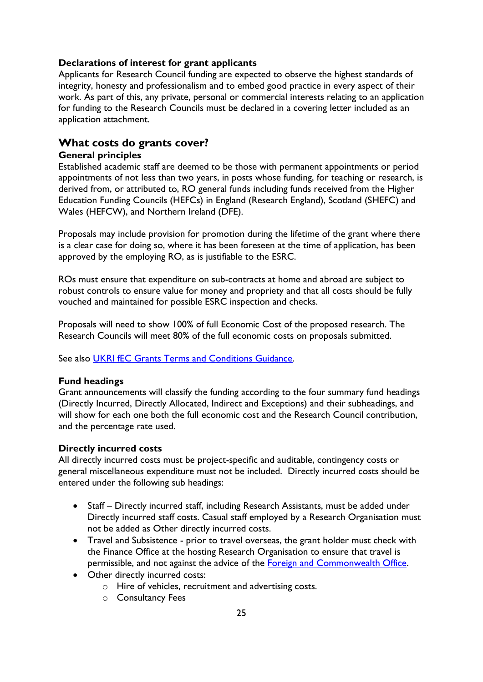# <span id="page-24-0"></span>**Declarations of interest for grant applicants**

Applicants for Research Council funding are expected to observe the highest standards of integrity, honesty and professionalism and to embed good practice in every aspect of their work. As part of this, any private, personal or commercial interests relating to an application for funding to the Research Councils must be declared in a covering letter included as an application attachment.

# <span id="page-24-1"></span>**What costs do grants cover?**

# <span id="page-24-2"></span>**General principles**

Established academic staff are deemed to be those with permanent appointments or period appointments of not less than two years, in posts whose funding, for teaching or research, is derived from, or attributed to, RO general funds including funds received from the Higher Education Funding Councils (HEFCs) in England (Research England), Scotland (SHEFC) and Wales (HEFCW), and Northern Ireland (DFE).

Proposals may include provision for promotion during the lifetime of the grant where there is a clear case for doing so, where it has been foreseen at the time of application, has been approved by the employing RO, as is justifiable to the ESRC.

ROs must ensure that expenditure on sub-contracts at home and abroad are subject to robust controls to ensure value for money and propriety and that all costs should be fully vouched and maintained for possible ESRC inspection and checks.

Proposals will need to show 100% of full Economic Cost of the proposed research. The Research Councils will meet 80% of the full economic costs on proposals submitted.

See also [UKRI fEC Grants Terms and Conditions Guidance.](https://www.ukri.org/wp-content/uploads/2020/10/UKRI-291020-guidance-to-fEC-grant-terms-and-conditions.pdf)

# <span id="page-24-3"></span>**Fund headings**

Grant announcements will classify the funding according to the four summary fund headings (Directly Incurred, Directly Allocated, Indirect and Exceptions) and their subheadings, and will show for each one both the full economic cost and the Research Council contribution, and the percentage rate used.

# <span id="page-24-4"></span>**Directly incurred costs**

All directly incurred costs must be project-specific and auditable, contingency costs or general miscellaneous expenditure must not be included. Directly incurred costs should be entered under the following sub headings:

- Staff Directly incurred staff, including Research Assistants, must be added under Directly incurred staff costs. Casual staff employed by a Research Organisation must not be added as Other directly incurred costs.
- Travel and Subsistence prior to travel overseas, the grant holder must check with the Finance Office at the hosting Research Organisation to ensure that travel is permissible, and not against the advice of the [Foreign and Commonwealth Office.](http://www.fco.gov.uk/)
- Other directly incurred costs:
	- o Hire of vehicles, recruitment and advertising costs.
	- o Consultancy Fees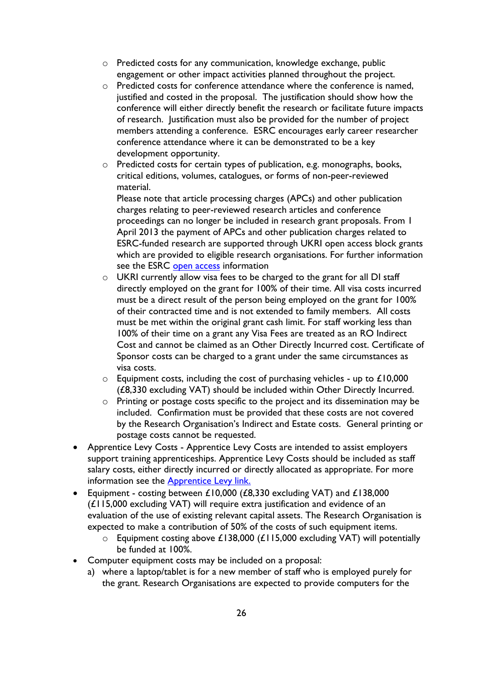- o Predicted costs for any communication, knowledge exchange, public engagement or other impact activities planned throughout the project.
- o Predicted costs for conference attendance where the conference is named, justified and costed in the proposal. The justification should show how the conference will either directly benefit the research or facilitate future impacts of research. Justification must also be provided for the number of project members attending a conference. ESRC encourages early career researcher conference attendance where it can be demonstrated to be a key development opportunity.
- o Predicted costs for certain types of publication, e.g. monographs, books, critical editions, volumes, catalogues, or forms of non-peer-reviewed material.

Please note that article processing charges (APCs) and other publication charges relating to peer-reviewed research articles and conference proceedings can no longer be included in research grant proposals. From 1 April 2013 the payment of APCs and other publication charges related to ESRC-funded research are supported through UKRI open access block grants which are provided to eligible research organisations. For further information see the ESRC [open access](https://www.ukri.org/publications/ukri-open-access-policy/) information

- o UKRI currently allow visa fees to be charged to the grant for all DI staff directly employed on the grant for 100% of their time. All visa costs incurred must be a direct result of the person being employed on the grant for 100% of their contracted time and is not extended to family members. All costs must be met within the original grant cash limit. For staff working less than 100% of their time on a grant any Visa Fees are treated as an RO Indirect Cost and cannot be claimed as an Other Directly Incurred cost. Certificate of Sponsor costs can be charged to a grant under the same circumstances as visa costs.
- $\circ$  Equipment costs, including the cost of purchasing vehicles up to £10,000 (£8,330 excluding VAT) should be included within Other Directly Incurred.
- o Printing or postage costs specific to the project and its dissemination may be included. Confirmation must be provided that these costs are not covered by the Research Organisation's Indirect and Estate costs. General printing or postage costs cannot be requested.
- Apprentice Levy Costs Apprentice Levy Costs are intended to assist employers support training apprenticeships. Apprentice Levy Costs should be included as staff salary costs, either directly incurred or directly allocated as appropriate. For more information see the [Apprentice Levy link.](https://webarchive.nationalarchives.gov.uk/20170714125206/http:/www.rcuk.ac.uk/media/news/170313/)
- Equipment costing between £10,000 (£8,330 excluding VAT) and £138,000 (£115,000 excluding VAT) will require extra justification and evidence of an evaluation of the use of existing relevant capital assets. The Research Organisation is expected to make a contribution of 50% of the costs of such equipment items.
	- $\circ$  Equipment costing above £138,000 (£115,000 excluding VAT) will potentially be funded at 100%.
- Computer equipment costs may be included on a proposal:
	- a) where a laptop/tablet is for a new member of staff who is employed purely for the grant. Research Organisations are expected to provide computers for the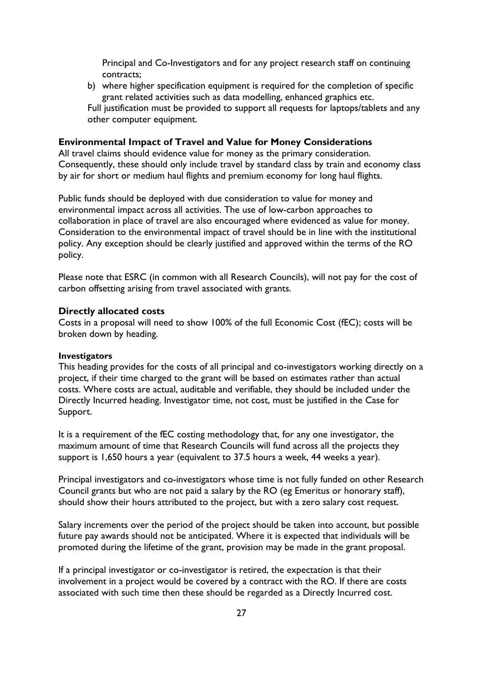Principal and Co-Investigators and for any project research staff on continuing contracts;

b) where higher specification equipment is required for the completion of specific grant related activities such as data modelling, enhanced graphics etc.

Full justification must be provided to support all requests for laptops/tablets and any other computer equipment.

#### **Environmental Impact of Travel and Value for Money Considerations**

All travel claims should evidence value for money as the primary consideration. Consequently, these should only include travel by standard class by train and economy class by air for short or medium haul flights and premium economy for long haul flights.

Public funds should be deployed with due consideration to value for money and environmental impact across all activities. The use of low-carbon approaches to collaboration in place of travel are also encouraged where evidenced as value for money. Consideration to the environmental impact of travel should be in line with the institutional policy. Any exception should be clearly justified and approved within the terms of the RO policy.

Please note that ESRC (in common with all Research Councils), will not pay for the cost of carbon offsetting arising from travel associated with grants.

#### <span id="page-26-0"></span>**Directly allocated costs**

Costs in a proposal will need to show 100% of the full Economic Cost (fEC); costs will be broken down by heading.

#### **Investigators**

This heading provides for the costs of all principal and co-investigators working directly on a project, if their time charged to the grant will be based on estimates rather than actual costs. Where costs are actual, auditable and verifiable, they should be included under the Directly Incurred heading. Investigator time, not cost, must be justified in the Case for Support.

It is a requirement of the fEC costing methodology that, for any one investigator, the maximum amount of time that Research Councils will fund across all the projects they support is 1,650 hours a year (equivalent to 37.5 hours a week, 44 weeks a year).

Principal investigators and co-investigators whose time is not fully funded on other Research Council grants but who are not paid a salary by the RO (eg Emeritus or honorary staff), should show their hours attributed to the project, but with a zero salary cost request.

Salary increments over the period of the project should be taken into account, but possible future pay awards should not be anticipated. Where it is expected that individuals will be promoted during the lifetime of the grant, provision may be made in the grant proposal.

If a principal investigator or co-investigator is retired, the expectation is that their involvement in a project would be covered by a contract with the RO. If there are costs associated with such time then these should be regarded as a Directly Incurred cost.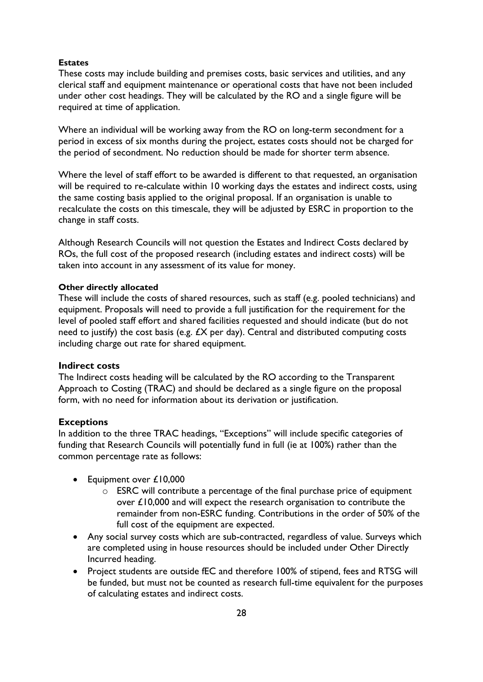#### **Estates**

These costs may include building and premises costs, basic services and utilities, and any clerical staff and equipment maintenance or operational costs that have not been included under other cost headings. They will be calculated by the RO and a single figure will be required at time of application.

Where an individual will be working away from the RO on long-term secondment for a period in excess of six months during the project, estates costs should not be charged for the period of secondment. No reduction should be made for shorter term absence.

Where the level of staff effort to be awarded is different to that requested, an organisation will be required to re-calculate within 10 working days the estates and indirect costs, using the same costing basis applied to the original proposal. If an organisation is unable to recalculate the costs on this timescale, they will be adjusted by ESRC in proportion to the change in staff costs.

Although Research Councils will not question the Estates and Indirect Costs declared by ROs, the full cost of the proposed research (including estates and indirect costs) will be taken into account in any assessment of its value for money.

#### **Other directly allocated**

These will include the costs of shared resources, such as staff (e.g. pooled technicians) and equipment. Proposals will need to provide a full justification for the requirement for the level of pooled staff effort and shared facilities requested and should indicate (but do not need to justify) the cost basis (e.g.  $EX$  per day). Central and distributed computing costs including charge out rate for shared equipment.

#### <span id="page-27-0"></span>**Indirect costs**

The Indirect costs heading will be calculated by the RO according to the Transparent Approach to Costing (TRAC) and should be declared as a single figure on the proposal form, with no need for information about its derivation or justification.

#### <span id="page-27-1"></span>**Exceptions**

In addition to the three TRAC headings, "Exceptions" will include specific categories of funding that Research Councils will potentially fund in full (ie at 100%) rather than the common percentage rate as follows:

- Equipment over £10,000
	- $\circ$  ESRC will contribute a percentage of the final purchase price of equipment over £10,000 and will expect the research organisation to contribute the remainder from non-ESRC funding. Contributions in the order of 50% of the full cost of the equipment are expected.
- Any social survey costs which are sub-contracted, regardless of value. Surveys which are completed using in house resources should be included under Other Directly Incurred heading.
- Project students are outside fEC and therefore 100% of stipend, fees and RTSG will be funded, but must not be counted as research full-time equivalent for the purposes of calculating estates and indirect costs.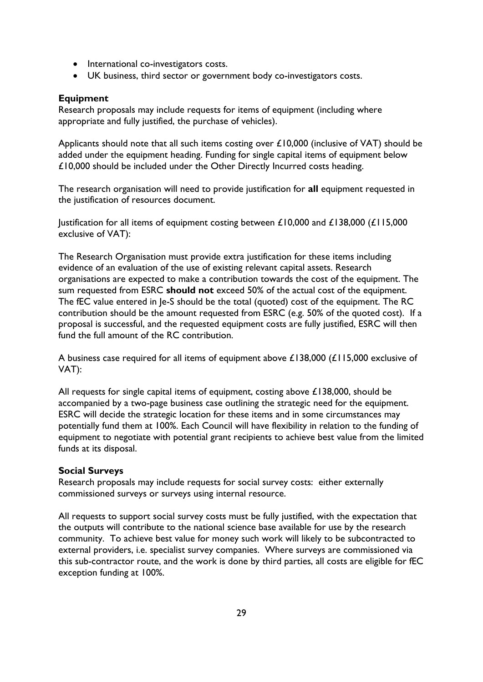- International co-investigators costs.
- UK business, third sector or government body co-investigators costs.

## <span id="page-28-0"></span>**Equipment**

Research proposals may include requests for items of equipment (including where appropriate and fully justified, the purchase of vehicles).

Applicants should note that all such items costing over £10,000 (inclusive of VAT) should be added under the equipment heading. Funding for single capital items of equipment below £10,000 should be included under the Other Directly Incurred costs heading.

The research organisation will need to provide justification for **all** equipment requested in the justification of resources document.

Justification for all items of equipment costing between  $£10,000$  and  $£138,000$  ( $£115,000$ exclusive of VAT):

The Research Organisation must provide extra justification for these items including evidence of an evaluation of the use of existing relevant capital assets. Research organisations are expected to make a contribution towards the cost of the equipment. The sum requested from ESRC **should not** exceed 50% of the actual cost of the equipment. The fEC value entered in Je-S should be the total (quoted) cost of the equipment. The RC contribution should be the amount requested from ESRC (e.g. 50% of the quoted cost). If a proposal is successful, and the requested equipment costs are fully justified, ESRC will then fund the full amount of the RC contribution.

A business case required for all items of equipment above £138,000 (£115,000 exclusive of VAT):

All requests for single capital items of equipment, costing above £138,000, should be accompanied by a two-page business case outlining the strategic need for the equipment. ESRC will decide the strategic location for these items and in some circumstances may potentially fund them at 100%. Each Council will have flexibility in relation to the funding of equipment to negotiate with potential grant recipients to achieve best value from the limited funds at its disposal.

#### <span id="page-28-1"></span>**Social Surveys**

Research proposals may include requests for social survey costs: either externally commissioned surveys or surveys using internal resource.

All requests to support social survey costs must be fully justified, with the expectation that the outputs will contribute to the national science base available for use by the research community. To achieve best value for money such work will likely to be subcontracted to external providers, i.e. specialist survey companies. Where surveys are commissioned via this sub-contractor route, and the work is done by third parties, all costs are eligible for fEC exception funding at 100%.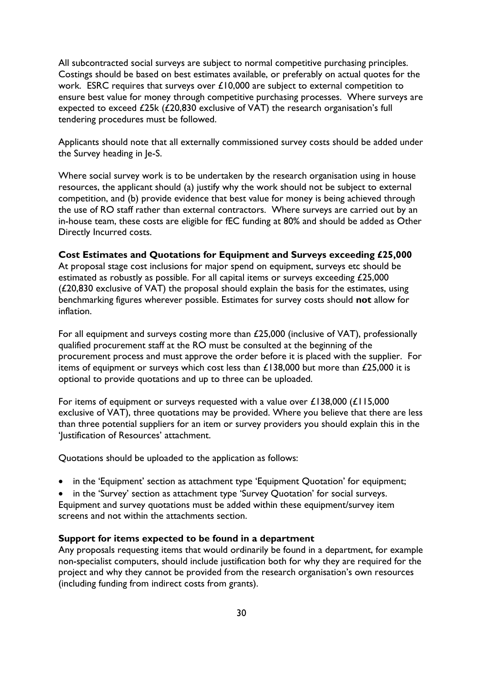All subcontracted social surveys are subject to normal competitive purchasing principles. Costings should be based on best estimates available, or preferably on actual quotes for the work. ESRC requires that surveys over £10,000 are subject to external competition to ensure best value for money through competitive purchasing processes. Where surveys are expected to exceed £25k (£20,830 exclusive of VAT) the research organisation's full tendering procedures must be followed.

Applicants should note that all externally commissioned survey costs should be added under the Survey heading in Je-S.

Where social survey work is to be undertaken by the research organisation using in house resources, the applicant should (a) justify why the work should not be subject to external competition, and (b) provide evidence that best value for money is being achieved through the use of RO staff rather than external contractors. Where surveys are carried out by an in-house team, these costs are eligible for fEC funding at 80% and should be added as Other Directly Incurred costs.

#### <span id="page-29-0"></span>**Cost Estimates and Quotations for Equipment and Surveys exceeding £25,000**

At proposal stage cost inclusions for major spend on equipment, surveys etc should be estimated as robustly as possible. For all capital items or surveys exceeding £25,000  $(£20,830$  exclusive of VAT) the proposal should explain the basis for the estimates, using benchmarking figures wherever possible. Estimates for survey costs should **not** allow for inflation.

For all equipment and surveys costing more than £25,000 (inclusive of VAT), professionally qualified procurement staff at the RO must be consulted at the beginning of the procurement process and must approve the order before it is placed with the supplier. For items of equipment or surveys which cost less than  $£138,000$  but more than  $£25,000$  it is optional to provide quotations and up to three can be uploaded.

For items of equipment or surveys requested with a value over  $£138,000$  ( $£115,000$ exclusive of VAT), three quotations may be provided. Where you believe that there are less than three potential suppliers for an item or survey providers you should explain this in the 'Justification of Resources' attachment.

Quotations should be uploaded to the application as follows:

• in the 'Equipment' section as attachment type 'Equipment Quotation' for equipment;

• in the 'Survey' section as attachment type 'Survey Quotation' for social surveys. Equipment and survey quotations must be added within these equipment/survey item screens and not within the attachments section.

#### <span id="page-29-1"></span>**Support for items expected to be found in a department**

Any proposals requesting items that would ordinarily be found in a department, for example non-specialist computers, should include justification both for why they are required for the project and why they cannot be provided from the research organisation's own resources (including funding from indirect costs from grants).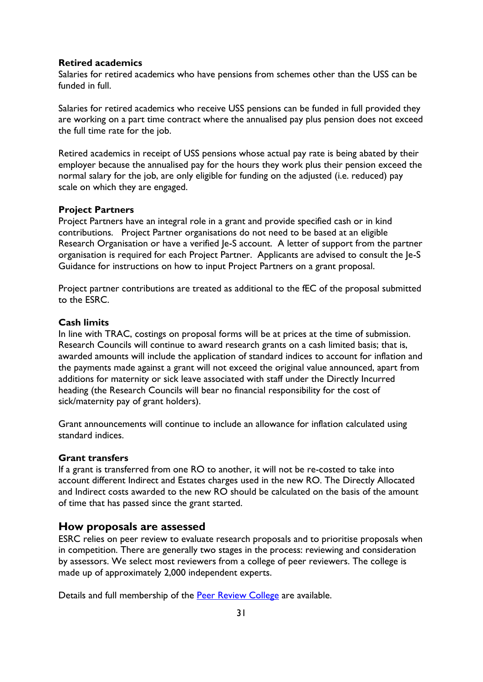#### <span id="page-30-0"></span>**Retired academics**

Salaries for retired academics who have pensions from schemes other than the USS can be funded in full.

Salaries for retired academics who receive USS pensions can be funded in full provided they are working on a part time contract where the annualised pay plus pension does not exceed the full time rate for the job.

Retired academics in receipt of USS pensions whose actual pay rate is being abated by their employer because the annualised pay for the hours they work plus their pension exceed the normal salary for the job, are only eligible for funding on the adjusted (i.e. reduced) pay scale on which they are engaged.

#### <span id="page-30-1"></span>**Project Partners**

Project Partners have an integral role in a grant and provide specified cash or in kind contributions. Project Partner organisations do not need to be based at an eligible Research Organisation or have a verified Je-S account. A letter of support from the partner organisation is required for each Project Partner. Applicants are advised to consult the Je-S Guidance for instructions on how to input Project Partners on a grant proposal.

Project partner contributions are treated as additional to the fEC of the proposal submitted to the ESRC.

#### <span id="page-30-2"></span>**Cash limits**

In line with TRAC, costings on proposal forms will be at prices at the time of submission. Research Councils will continue to award research grants on a cash limited basis; that is, awarded amounts will include the application of standard indices to account for inflation and the payments made against a grant will not exceed the original value announced, apart from additions for maternity or sick leave associated with staff under the Directly Incurred heading (the Research Councils will bear no financial responsibility for the cost of sick/maternity pay of grant holders).

Grant announcements will continue to include an allowance for inflation calculated using standard indices.

#### <span id="page-30-3"></span>**Grant transfers**

If a grant is transferred from one RO to another, it will not be re-costed to take into account different Indirect and Estates charges used in the new RO. The Directly Allocated and Indirect costs awarded to the new RO should be calculated on the basis of the amount of time that has passed since the grant started.

# <span id="page-30-4"></span>**How proposals are assessed**

ESRC relies on peer review to evaluate research proposals and to prioritise proposals when in competition. There are generally two stages in the process: reviewing and consideration by assessors. We select most reviewers from a college of peer reviewers. The college is made up of approximately 2,000 independent experts.

Details and full membership of the [Peer Review College](https://esrc.ukri.org/funding/guidance-for-peer-reviewers/peer-review-college/) are available.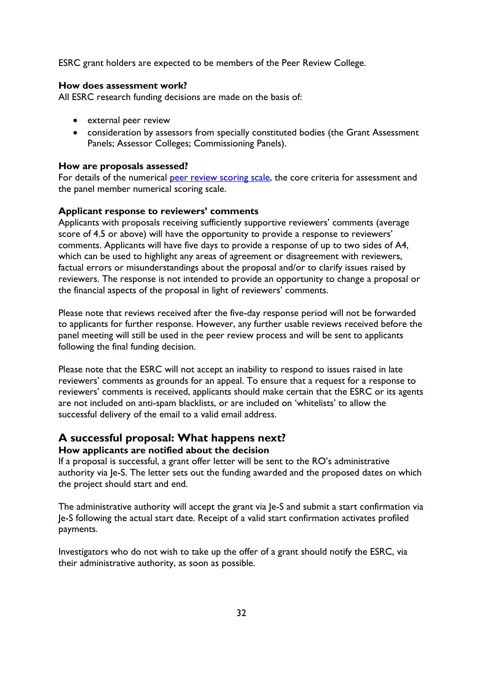ESRC grant holders are expected to be members of the Peer Review College.

# <span id="page-31-0"></span>**How does assessment work?**

All ESRC research funding decisions are made on the basis of:

- external peer review
- consideration by assessors from specially constituted bodies (the Grant Assessment Panels; Assessor Colleges; Commissioning Panels).

#### <span id="page-31-1"></span>**How are proposals assessed?**

For details of the numerical [peer review scoring scale,](https://esrc.ukri.org/funding/guidance-for-peer-reviewers/peer-review-scoring-scales-and-je-s-classification/) the core criteria for assessment and the panel member numerical scoring scale.

#### <span id="page-31-2"></span>**Applicant response to reviewers' comments**

Applicants with proposals receiving sufficiently supportive reviewers' comments (average score of 4.5 or above) will have the opportunity to provide a response to reviewers' comments. Applicants will have five days to provide a response of up to two sides of A4, which can be used to highlight any areas of agreement or disagreement with reviewers, factual errors or misunderstandings about the proposal and/or to clarify issues raised by reviewers. The response is not intended to provide an opportunity to change a proposal or the financial aspects of the proposal in light of reviewers' comments.

Please note that reviews received after the five-day response period will not be forwarded to applicants for further response. However, any further usable reviews received before the panel meeting will still be used in the peer review process and will be sent to applicants following the final funding decision.

Please note that the ESRC will not accept an inability to respond to issues raised in late reviewers' comments as grounds for an appeal. To ensure that a request for a response to reviewers' comments is received, applicants should make certain that the ESRC or its agents are not included on anti-spam blacklists, or are included on 'whitelists' to allow the successful delivery of the email to a valid email address.

# <span id="page-31-3"></span>**A successful proposal: What happens next?**

# <span id="page-31-4"></span>**How applicants are notified about the decision**

If a proposal is successful, a grant offer letter will be sent to the RO's administrative authority via Je-S. The letter sets out the funding awarded and the proposed dates on which the project should start and end.

The administrative authority will accept the grant via Je-S and submit a start confirmation via Je-S following the actual start date. Receipt of a valid start confirmation activates profiled payments.

Investigators who do not wish to take up the offer of a grant should notify the ESRC, via their administrative authority, as soon as possible.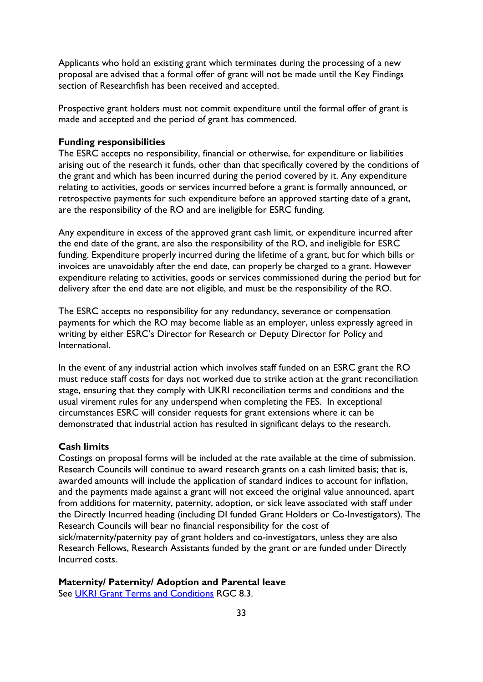Applicants who hold an existing grant which terminates during the processing of a new proposal are advised that a formal offer of grant will not be made until the Key Findings section of Researchfish has been received and accepted.

Prospective grant holders must not commit expenditure until the formal offer of grant is made and accepted and the period of grant has commenced.

#### <span id="page-32-0"></span>**Funding responsibilities**

The ESRC accepts no responsibility, financial or otherwise, for expenditure or liabilities arising out of the research it funds, other than that specifically covered by the conditions of the grant and which has been incurred during the period covered by it. Any expenditure relating to activities, goods or services incurred before a grant is formally announced, or retrospective payments for such expenditure before an approved starting date of a grant, are the responsibility of the RO and are ineligible for ESRC funding.

Any expenditure in excess of the approved grant cash limit, or expenditure incurred after the end date of the grant, are also the responsibility of the RO, and ineligible for ESRC funding. Expenditure properly incurred during the lifetime of a grant, but for which bills or invoices are unavoidably after the end date, can properly be charged to a grant. However expenditure relating to activities, goods or services commissioned during the period but for delivery after the end date are not eligible, and must be the responsibility of the RO.

The ESRC accepts no responsibility for any redundancy, severance or compensation payments for which the RO may become liable as an employer, unless expressly agreed in writing by either ESRC's Director for Research or Deputy Director for Policy and International.

In the event of any industrial action which involves staff funded on an ESRC grant the RO must reduce staff costs for days not worked due to strike action at the grant reconciliation stage, ensuring that they comply with UKRI reconciliation terms and conditions and the usual virement rules for any underspend when completing the FES. In exceptional circumstances ESRC will consider requests for grant extensions where it can be demonstrated that industrial action has resulted in significant delays to the research.

#### <span id="page-32-1"></span>**Cash limits**

Costings on proposal forms will be included at the rate available at the time of submission. Research Councils will continue to award research grants on a cash limited basis; that is, awarded amounts will include the application of standard indices to account for inflation, and the payments made against a grant will not exceed the original value announced, apart from additions for maternity, paternity, adoption, or sick leave associated with staff under the Directly Incurred heading (including DI funded Grant Holders or Co-Investigators). The Research Councils will bear no financial responsibility for the cost of sick/maternity/paternity pay of grant holders and co-investigators, unless they are also Research Fellows, Research Assistants funded by the grant or are funded under Directly Incurred costs.

#### <span id="page-32-2"></span>**Maternity/ Paternity/ Adoption and Parental leave**

See [UKRI Grant Terms and Conditions](https://www.ukri.org/wp-content/uploads/2022/04/UKRI-050422-FullEconomicCostingGrantTermsConditions-Apr2022.pdf) RGC 8.3.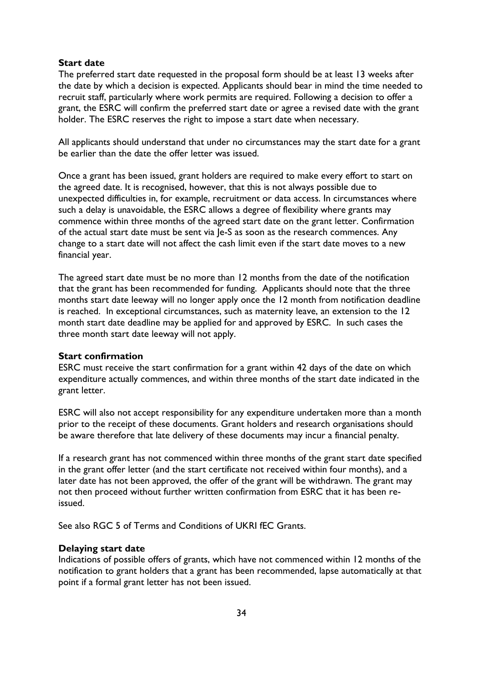#### <span id="page-33-0"></span>**Start date**

The preferred start date requested in the proposal form should be at least 13 weeks after the date by which a decision is expected. Applicants should bear in mind the time needed to recruit staff, particularly where work permits are required. Following a decision to offer a grant, the ESRC will confirm the preferred start date or agree a revised date with the grant holder. The ESRC reserves the right to impose a start date when necessary.

All applicants should understand that under no circumstances may the start date for a grant be earlier than the date the offer letter was issued.

Once a grant has been issued, grant holders are required to make every effort to start on the agreed date. It is recognised, however, that this is not always possible due to unexpected difficulties in, for example, recruitment or data access. In circumstances where such a delay is unavoidable, the ESRC allows a degree of flexibility where grants may commence within three months of the agreed start date on the grant letter. Confirmation of the actual start date must be sent via Je-S as soon as the research commences. Any change to a start date will not affect the cash limit even if the start date moves to a new financial year.

The agreed start date must be no more than 12 months from the date of the notification that the grant has been recommended for funding. Applicants should note that the three months start date leeway will no longer apply once the 12 month from notification deadline is reached. In exceptional circumstances, such as maternity leave, an extension to the 12 month start date deadline may be applied for and approved by ESRC. In such cases the three month start date leeway will not apply.

#### <span id="page-33-1"></span>**Start confirmation**

ESRC must receive the start confirmation for a grant within 42 days of the date on which expenditure actually commences, and within three months of the start date indicated in the grant letter.

ESRC will also not accept responsibility for any expenditure undertaken more than a month prior to the receipt of these documents. Grant holders and research organisations should be aware therefore that late delivery of these documents may incur a financial penalty.

If a research grant has not commenced within three months of the grant start date specified in the grant offer letter (and the start certificate not received within four months), and a later date has not been approved, the offer of the grant will be withdrawn. The grant may not then proceed without further written confirmation from ESRC that it has been reissued.

See also RGC 5 of Terms and Conditions of UKRI fEC Grants.

# <span id="page-33-2"></span>**Delaying start date**

Indications of possible offers of grants, which have not commenced within 12 months of the notification to grant holders that a grant has been recommended, lapse automatically at that point if a formal grant letter has not been issued.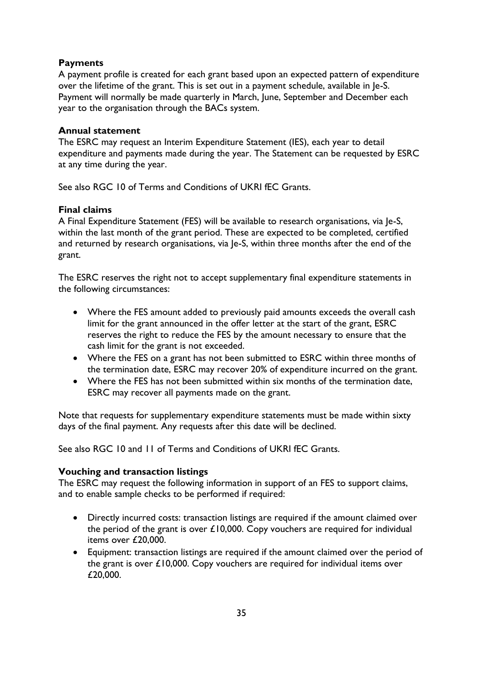# <span id="page-34-0"></span>**Payments**

A payment profile is created for each grant based upon an expected pattern of expenditure over the lifetime of the grant. This is set out in a payment schedule, available in Je-S. Payment will normally be made quarterly in March, June, September and December each year to the organisation through the BACs system.

# <span id="page-34-1"></span>**Annual statement**

The ESRC may request an Interim Expenditure Statement (IES), each year to detail expenditure and payments made during the year. The Statement can be requested by ESRC at any time during the year.

See also RGC 10 of Terms and Conditions of UKRI fEC Grants.

# <span id="page-34-2"></span>**Final claims**

A Final Expenditure Statement (FES) will be available to research organisations, via Je-S, within the last month of the grant period. These are expected to be completed, certified and returned by research organisations, via Je-S, within three months after the end of the grant.

The ESRC reserves the right not to accept supplementary final expenditure statements in the following circumstances:

- Where the FES amount added to previously paid amounts exceeds the overall cash limit for the grant announced in the offer letter at the start of the grant, ESRC reserves the right to reduce the FES by the amount necessary to ensure that the cash limit for the grant is not exceeded.
- Where the FES on a grant has not been submitted to ESRC within three months of the termination date, ESRC may recover 20% of expenditure incurred on the grant.
- Where the FES has not been submitted within six months of the termination date, ESRC may recover all payments made on the grant.

Note that requests for supplementary expenditure statements must be made within sixty days of the final payment. Any requests after this date will be declined.

See also RGC 10 and 11 of Terms and Conditions of UKRI fEC Grants.

# <span id="page-34-3"></span>**Vouching and transaction listings**

The ESRC may request the following information in support of an FES to support claims, and to enable sample checks to be performed if required:

- Directly incurred costs: transaction listings are required if the amount claimed over the period of the grant is over  $£10,000$ . Copy vouchers are required for individual items over £20,000.
- Equipment: transaction listings are required if the amount claimed over the period of the grant is over £10,000. Copy vouchers are required for individual items over £20,000.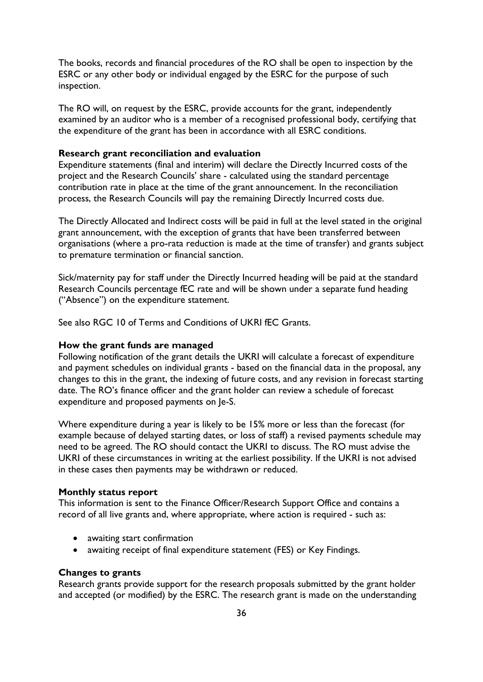The books, records and financial procedures of the RO shall be open to inspection by the ESRC or any other body or individual engaged by the ESRC for the purpose of such inspection.

The RO will, on request by the ESRC, provide accounts for the grant, independently examined by an auditor who is a member of a recognised professional body, certifying that the expenditure of the grant has been in accordance with all ESRC conditions.

#### <span id="page-35-0"></span>**Research grant reconciliation and evaluation**

Expenditure statements (final and interim) will declare the Directly Incurred costs of the project and the Research Councils' share - calculated using the standard percentage contribution rate in place at the time of the grant announcement. In the reconciliation process, the Research Councils will pay the remaining Directly Incurred costs due.

The Directly Allocated and Indirect costs will be paid in full at the level stated in the original grant announcement, with the exception of grants that have been transferred between organisations (where a pro-rata reduction is made at the time of transfer) and grants subject to premature termination or financial sanction.

Sick/maternity pay for staff under the Directly Incurred heading will be paid at the standard Research Councils percentage fEC rate and will be shown under a separate fund heading ("Absence") on the expenditure statement.

See also RGC 10 of Terms and Conditions of UKRI fEC Grants.

#### <span id="page-35-1"></span>**How the grant funds are managed**

Following notification of the grant details the UKRI will calculate a forecast of expenditure and payment schedules on individual grants - based on the financial data in the proposal, any changes to this in the grant, the indexing of future costs, and any revision in forecast starting date. The RO's finance officer and the grant holder can review a schedule of forecast expenditure and proposed payments on Je-S.

Where expenditure during a year is likely to be 15% more or less than the forecast (for example because of delayed starting dates, or loss of staff) a revised payments schedule may need to be agreed. The RO should contact the UKRI to discuss. The RO must advise the UKRI of these circumstances in writing at the earliest possibility. If the UKRI is not advised in these cases then payments may be withdrawn or reduced.

#### <span id="page-35-2"></span>**Monthly status report**

This information is sent to the Finance Officer/Research Support Office and contains a record of all live grants and, where appropriate, where action is required - such as:

- awaiting start confirmation
- awaiting receipt of final expenditure statement (FES) or Key Findings.

#### <span id="page-35-3"></span>**Changes to grants**

Research grants provide support for the research proposals submitted by the grant holder and accepted (or modified) by the ESRC. The research grant is made on the understanding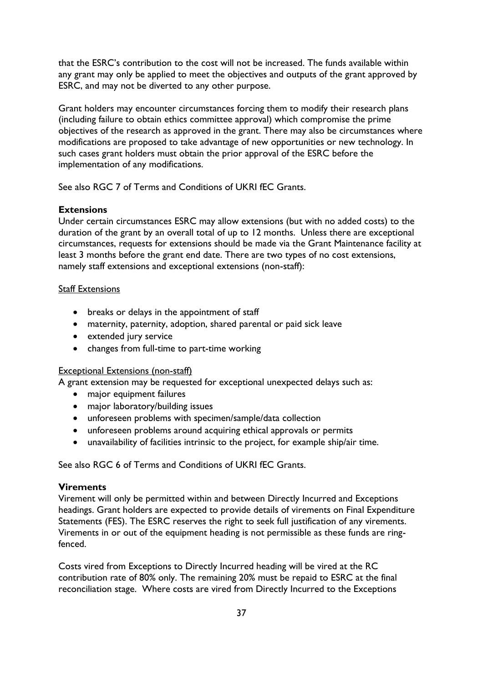that the ESRC's contribution to the cost will not be increased. The funds available within any grant may only be applied to meet the objectives and outputs of the grant approved by ESRC, and may not be diverted to any other purpose.

Grant holders may encounter circumstances forcing them to modify their research plans (including failure to obtain ethics committee approval) which compromise the prime objectives of the research as approved in the grant. There may also be circumstances where modifications are proposed to take advantage of new opportunities or new technology. In such cases grant holders must obtain the prior approval of the ESRC before the implementation of any modifications.

See also RGC 7 of Terms and Conditions of UKRI fEC Grants.

# <span id="page-36-0"></span>**Extensions**

Under certain circumstances ESRC may allow extensions (but with no added costs) to the duration of the grant by an overall total of up to 12 months. Unless there are exceptional circumstances, requests for extensions should be made via the Grant Maintenance facility at least 3 months before the grant end date. There are two types of no cost extensions, namely staff extensions and exceptional extensions (non-staff):

# Staff Extensions

- breaks or delays in the appointment of staff
- maternity, paternity, adoption, shared parental or paid sick leave
- extended jury service
- changes from full-time to part-time working

# Exceptional Extensions (non-staff)

A grant extension may be requested for exceptional unexpected delays such as:

- major equipment failures
- major laboratory/building issues
- unforeseen problems with specimen/sample/data collection
- unforeseen problems around acquiring ethical approvals or permits
- unavailability of facilities intrinsic to the project, for example ship/air time.

See also RGC 6 of Terms and Conditions of UKRI fEC Grants.

# <span id="page-36-1"></span>**Virements**

Virement will only be permitted within and between Directly Incurred and Exceptions headings. Grant holders are expected to provide details of virements on Final Expenditure Statements (FES). The ESRC reserves the right to seek full justification of any virements. Virements in or out of the equipment heading is not permissible as these funds are ringfenced.

Costs vired from Exceptions to Directly Incurred heading will be vired at the RC contribution rate of 80% only. The remaining 20% must be repaid to ESRC at the final reconciliation stage. Where costs are vired from Directly Incurred to the Exceptions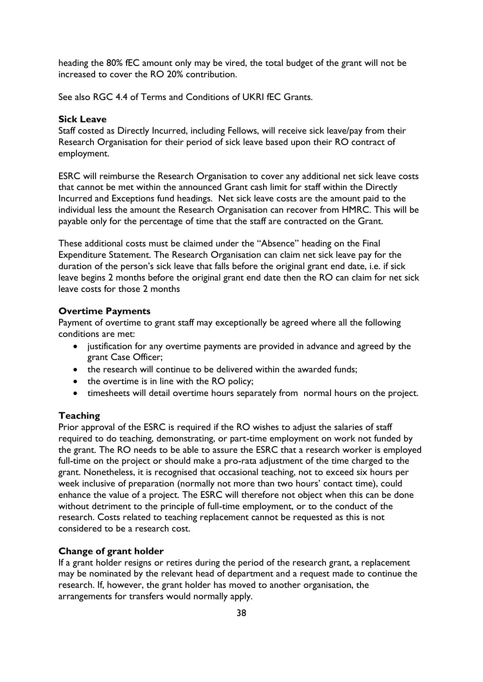heading the 80% fEC amount only may be vired, the total budget of the grant will not be increased to cover the RO 20% contribution.

See also RGC 4.4 of Terms and Conditions of UKRI fEC Grants.

# <span id="page-37-0"></span>**Sick Leave**

Staff costed as Directly Incurred, including Fellows, will receive sick leave/pay from their Research Organisation for their period of sick leave based upon their RO contract of employment.

ESRC will reimburse the Research Organisation to cover any additional net sick leave costs that cannot be met within the announced Grant cash limit for staff within the Directly Incurred and Exceptions fund headings. Net sick leave costs are the amount paid to the individual less the amount the Research Organisation can recover from HMRC. This will be payable only for the percentage of time that the staff are contracted on the Grant.

These additional costs must be claimed under the "Absence" heading on the Final Expenditure Statement. The Research Organisation can claim net sick leave pay for the duration of the person's sick leave that falls before the original grant end date, i.e. if sick leave begins 2 months before the original grant end date then the RO can claim for net sick leave costs for those 2 months

#### **Overtime Payments**

Payment of overtime to grant staff may exceptionally be agreed where all the following conditions are met:

- justification for any overtime payments are provided in advance and agreed by the grant Case Officer;
- the research will continue to be delivered within the awarded funds:
- the overtime is in line with the RO policy;
- timesheets will detail overtime hours separately from normal hours on the project.

# <span id="page-37-1"></span>**Teaching**

Prior approval of the ESRC is required if the RO wishes to adjust the salaries of staff required to do teaching, demonstrating, or part-time employment on work not funded by the grant. The RO needs to be able to assure the ESRC that a research worker is employed full-time on the project or should make a pro-rata adjustment of the time charged to the grant. Nonetheless, it is recognised that occasional teaching, not to exceed six hours per week inclusive of preparation (normally not more than two hours' contact time), could enhance the value of a project. The ESRC will therefore not object when this can be done without detriment to the principle of full-time employment, or to the conduct of the research. Costs related to teaching replacement cannot be requested as this is not considered to be a research cost.

# <span id="page-37-2"></span>**Change of grant holder**

If a grant holder resigns or retires during the period of the research grant, a replacement may be nominated by the relevant head of department and a request made to continue the research. If, however, the grant holder has moved to another organisation, the arrangements for transfers would normally apply.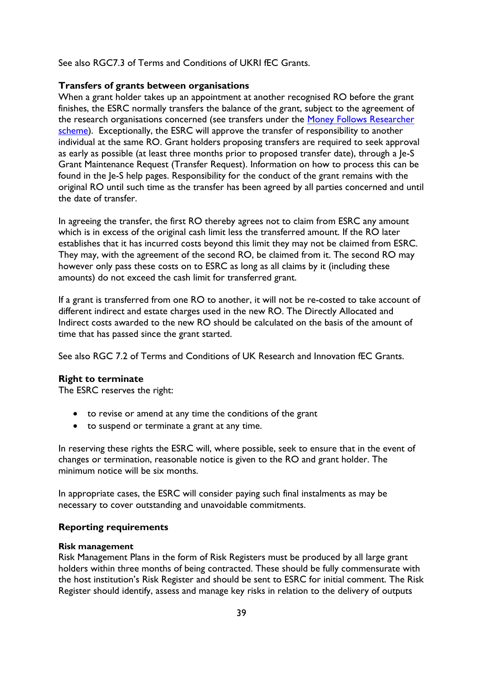See also RGC7.3 of Terms and Conditions of UKRI fEC Grants.

#### <span id="page-38-0"></span>**Transfers of grants between organisations**

When a grant holder takes up an appointment at another recognised RO before the grant finishes, the ESRC normally transfers the balance of the grant, subject to the agreement of the research organisations concerned (see transfers under the Money Follows Researcher [scheme\)](https://www.ukri.org/what-we-offer/collaborating-internationally/transferring-your-research-grant-to-another-country/). Exceptionally, the ESRC will approve the transfer of responsibility to another individual at the same RO. Grant holders proposing transfers are required to seek approval as early as possible (at least three months prior to proposed transfer date), through a Je-S Grant Maintenance Request (Transfer Request). Information on how to process this can be found in the Je-S help pages. Responsibility for the conduct of the grant remains with the original RO until such time as the transfer has been agreed by all parties concerned and until the date of transfer.

In agreeing the transfer, the first RO thereby agrees not to claim from ESRC any amount which is in excess of the original cash limit less the transferred amount. If the RO later establishes that it has incurred costs beyond this limit they may not be claimed from ESRC. They may, with the agreement of the second RO, be claimed from it. The second RO may however only pass these costs on to ESRC as long as all claims by it (including these amounts) do not exceed the cash limit for transferred grant.

If a grant is transferred from one RO to another, it will not be re-costed to take account of different indirect and estate charges used in the new RO. The Directly Allocated and Indirect costs awarded to the new RO should be calculated on the basis of the amount of time that has passed since the grant started.

See also RGC 7.2 of Terms and Conditions of UK Research and Innovation fEC Grants.

#### <span id="page-38-1"></span>**Right to terminate**

The ESRC reserves the right:

- to revise or amend at any time the conditions of the grant
- to suspend or terminate a grant at any time.

In reserving these rights the ESRC will, where possible, seek to ensure that in the event of changes or termination, reasonable notice is given to the RO and grant holder. The minimum notice will be six months.

In appropriate cases, the ESRC will consider paying such final instalments as may be necessary to cover outstanding and unavoidable commitments.

#### <span id="page-38-2"></span>**Reporting requirements**

#### **Risk management**

Risk Management Plans in the form of Risk Registers must be produced by all large grant holders within three months of being contracted. These should be fully commensurate with the host institution's Risk Register and should be sent to ESRC for initial comment. The Risk Register should identify, assess and manage key risks in relation to the delivery of outputs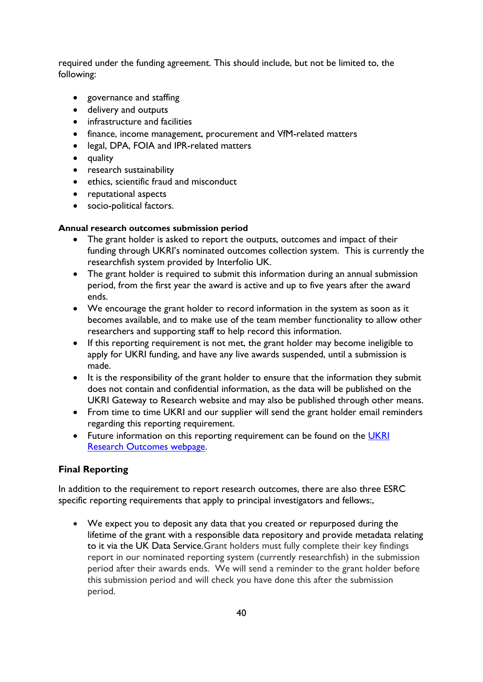required under the funding agreement. This should include, but not be limited to, the following:

- governance and staffing
- delivery and outputs
- infrastructure and facilities
- finance, income management, procurement and VfM-related matters
- legal, DPA, FOIA and IPR-related matters
- quality
- research sustainability
- ethics, scientific fraud and misconduct
- reputational aspects
- socio-political factors.

# **Annual research outcomes submission period**

- The grant holder is asked to report the outputs, outcomes and impact of their funding through UKRI's nominated outcomes collection system. This is currently the researchfish system provided by Interfolio UK.
- The grant holder is required to submit this information during an annual submission period, from the first year the award is active and up to five years after the award ends.
- We encourage the grant holder to record information in the system as soon as it becomes available, and to make use of the team member functionality to allow other researchers and supporting staff to help record this information.
- If this reporting requirement is not met, the grant holder may become ineligible to apply for UKRI funding, and have any live awards suspended, until a submission is made.
- It is the responsibility of the grant holder to ensure that the information they submit does not contain and confidential information, as the data will be published on the UKRI Gateway to Research website and may also be published through other means.
- From time to time UKRI and our supplier will send the grant holder email reminders regarding this reporting requirement.
- Future information on this reporting requirement can be found on the UKRI [Research Outcomes webpage.](https://www.ukri.org/manage-your-award/reporting-your-projects-outcomes/)

# <span id="page-39-0"></span>**Final Reporting**

In addition to the requirement to report research outcomes, there are also three ESRC specific reporting requirements that apply to principal investigators and fellows:,

 We expect you to deposit any data that you created or repurposed during the lifetime of the grant with a responsible data repository and provide metadata relating to it via the UK Data Service.Grant holders must fully complete their key findings report in our nominated reporting system (currently researchfish) in the submission period after their awards ends. We will send a reminder to the grant holder before this submission period and will check you have done this after the submission period.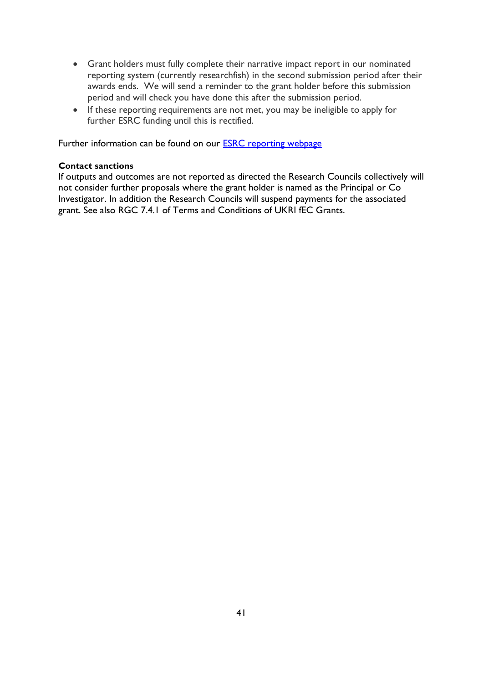- Grant holders must fully complete their narrative impact report in our nominated reporting system (currently researchfish) in the second submission period after their awards ends. We will send a reminder to the grant holder before this submission period and will check you have done this after the submission period.
- If these reporting requirements are not met, you may be ineligible to apply for further ESRC funding until this is rectified.

Further information can be found on our **ESRC** reporting webpage

#### **Contact sanctions**

If outputs and outcomes are not reported as directed the Research Councils collectively will not consider further proposals where the grant holder is named as the Principal or Co Investigator. In addition the Research Councils will suspend payments for the associated grant. See also RGC 7.4.1 of Terms and Conditions of UKRI fEC Grants.